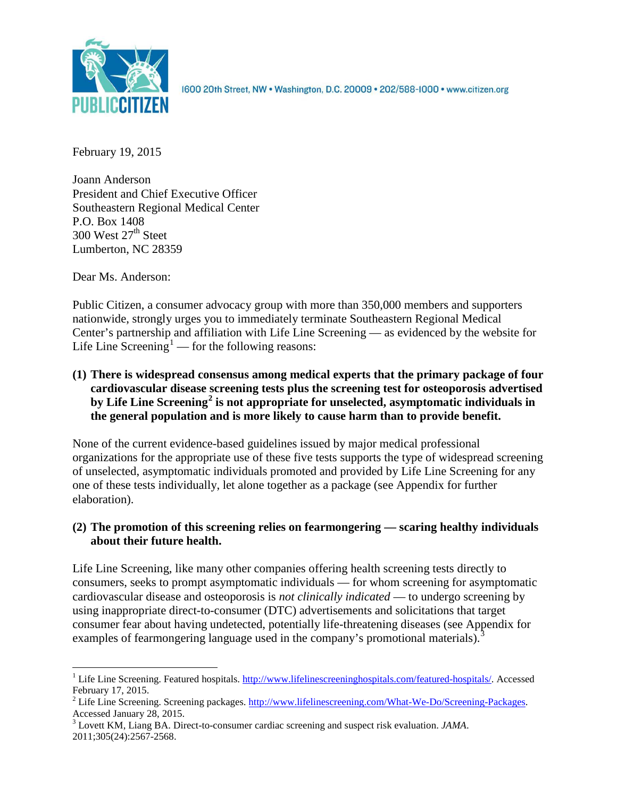

1600 20th Street, NW . Washington, D.C. 20009 . 202/588-1000 . www.citizen.org

February 19, 2015

Joann Anderson President and Chief Executive Officer Southeastern Regional Medical Center P.O. Box 1408 300 West  $27<sup>th</sup>$  Steet Lumberton, NC 28359

Dear Ms. Anderson:

Public Citizen, a consumer advocacy group with more than 350,000 members and supporters nationwide, strongly urges you to immediately terminate Southeastern Regional Medical Center's partnership and affiliation with Life Line Screening — as evidenced by the website for Life Line Screening<sup>[1](#page-0-0)</sup> — for the following reasons:

**(1) There is widespread consensus among medical experts that the primary package of four cardiovascular disease screening tests plus the screening test for osteoporosis advertised by Life Line Screening[2](#page-0-1) is not appropriate for unselected, asymptomatic individuals in the general population and is more likely to cause harm than to provide benefit.**

None of the current evidence-based guidelines issued by major medical professional organizations for the appropriate use of these five tests supports the type of widespread screening of unselected, asymptomatic individuals promoted and provided by Life Line Screening for any one of these tests individually, let alone together as a package (see Appendix for further elaboration).

## **(2) The promotion of this screening relies on fearmongering — scaring healthy individuals about their future health.**

Life Line Screening, like many other companies offering health screening tests directly to consumers, seeks to prompt asymptomatic individuals — for whom screening for asymptomatic cardiovascular disease and osteoporosis is *not clinically indicated* — to undergo screening by using inappropriate direct-to-consumer (DTC) advertisements and solicitations that target consumer fear about having undetected, potentially life-threatening diseases (see Appendix for examples of fearmongering language used in the company's promotional materials).<sup>[3](#page-0-2)</sup>

<span id="page-0-0"></span><sup>&</sup>lt;sup>1</sup> Life Line Screening. Featured hospitals.  $\frac{http://www.lifelinescreeninghospitals.com/featured-hospitals/}{$ . Accessed February 17, 2015.

<span id="page-0-1"></span><sup>&</sup>lt;sup>2</sup> Life Line Screening. Screening packages.  $\frac{http://www.lifelinescreening.com/What-We-Do/Screening-Packages. Accessed January 28, 2015.$ 

<span id="page-0-2"></span><sup>&</sup>lt;sup>3</sup> Lovett KM, Liang BA. Direct-to-consumer cardiac screening and suspect risk evaluation. *JAMA*. 2011;305(24):2567-2568.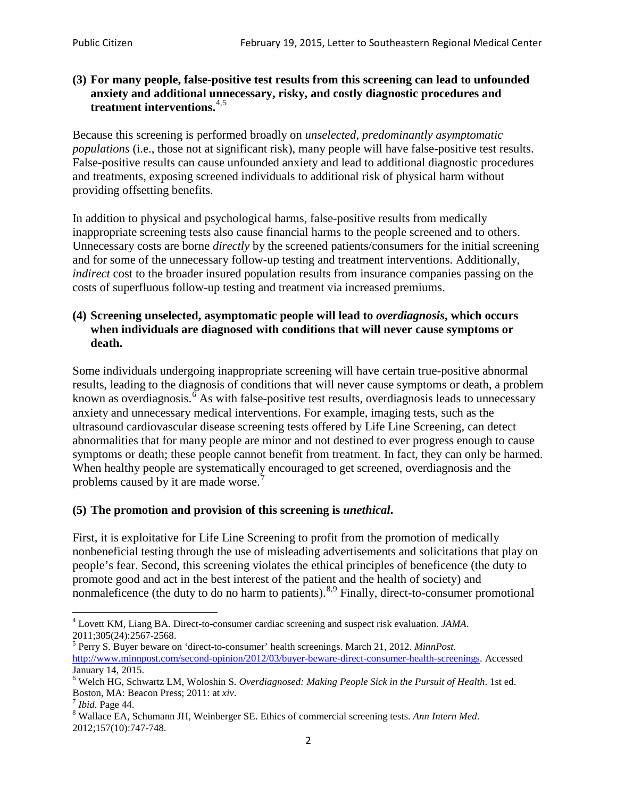#### **(3) For many people, false-positive test results from this screening can lead to unfounded anxiety and additional unnecessary, risky, and costly diagnostic procedures and treatment interventions.**[4](#page-1-0),[5](#page-1-1)

Because this screening is performed broadly on *unselected, predominantly asymptomatic populations* (i.e., those not at significant risk), many people will have false**-**positive test results. False-positive results can cause unfounded anxiety and lead to additional diagnostic procedures and treatments, exposing screened individuals to additional risk of physical harm without providing offsetting benefits.

In addition to physical and psychological harms, false-positive results from medically inappropriate screening tests also cause financial harms to the people screened and to others. Unnecessary costs are borne *directly* by the screened patients/consumers for the initial screening and for some of the unnecessary follow-up testing and treatment interventions. Additionally, *indirect* cost to the broader insured population results from insurance companies passing on the costs of superfluous follow-up testing and treatment via increased premiums.

#### **(4) Screening unselected, asymptomatic people will lead to** *overdiagnosis***, which occurs when individuals are diagnosed with conditions that will never cause symptoms or death.**

Some individuals undergoing inappropriate screening will have certain true-positive abnormal results, leading to the diagnosis of conditions that will never cause symptoms or death, a problem known as overdiagnosis.<sup>[6](#page-1-2)</sup> As with false-positive test results, overdiagnosis leads to unnecessary anxiety and unnecessary medical interventions. For example, imaging tests, such as the ultrasound cardiovascular disease screening tests offered by Life Line Screening, can detect abnormalities that for many people are minor and not destined to ever progress enough to cause symptoms or death; these people cannot benefit from treatment. In fact, they can only be harmed. When healthy people are systematically encouraged to get screened, overdiagnosis and the problems caused by it are made worse.<sup>[7](#page-1-3)</sup>

## **(5) The promotion and provision of this screening is** *unethical***.**

First, it is exploitative for Life Line Screening to profit from the promotion of medically nonbeneficial testing through the use of misleading advertisements and solicitations that play on people's fear. Second, this screening violates the ethical principles of beneficence (the duty to promote good and act in the best interest of the patient and the health of society) and nonmaleficence (the duty to do no harm to patients).<sup>[8](#page-1-4),[9](#page-1-5)</sup> Finally, direct-to-consumer promotional

<span id="page-1-4"></span>2012;157(10):747-748.

<span id="page-1-5"></span><span id="page-1-0"></span><sup>4</sup> Lovett KM, Liang BA. Direct-to-consumer cardiac screening and suspect risk evaluation. *JAMA*.

<span id="page-1-1"></span><sup>2011;305(24):2567-2568.</sup> <sup>5</sup> Perry S. Buyer beware on 'direct-to-consumer' health screenings. March 21, 2012. *MinnPost.*  [http://www.minnpost.com/second-opinion/2012/03/buyer-beware-direct-consumer-health-screenings.](http://www.minnpost.com/second-opinion/2012/03/buyer-beware-direct-consumer-health-screenings) Accessed January 14, 2015.

<span id="page-1-2"></span><sup>6</sup> Welch HG, Schwartz LM, Woloshin S. *Overdiagnosed: Making People Sick in the Pursuit of Health*. 1st ed. Boston, MA: Beacon Press; 2011: at *xiv*.<br><sup>7</sup> *Ibid*. Page 44.<br><sup>8</sup> Wallace EA, Schumann JH, Weinberger SE. Ethics of commercial screening tests. *Ann Intern Med*.

<span id="page-1-3"></span>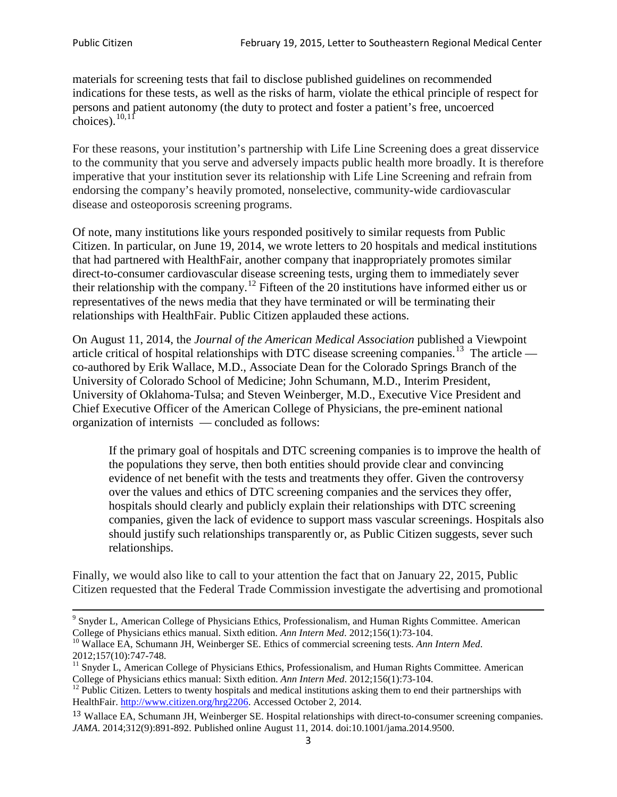materials for screening tests that fail to disclose published guidelines on recommended indications for these tests, as well as the risks of harm, violate the ethical principle of respect for persons and patient autonomy (the duty to protect and foster a patient's free, uncoerced choices). $\frac{10,11}{10,11}$  $\frac{10,11}{10,11}$  $\frac{10,11}{10,11}$  $\frac{10,11}{10,11}$ 

For these reasons, your institution's partnership with Life Line Screening does a great disservice to the community that you serve and adversely impacts public health more broadly. It is therefore imperative that your institution sever its relationship with Life Line Screening and refrain from endorsing the company's heavily promoted, nonselective, community**-**wide cardiovascular disease and osteoporosis screening programs.

Of note, many institutions like yours responded positively to similar requests from Public Citizen. In particular, on June 19, 2014, we wrote letters to 20 hospitals and medical institutions that had partnered with HealthFair, another company that inappropriately promotes similar direct-to-consumer cardiovascular disease screening tests, urging them to immediately sever their relationship with the company. [12](#page-2-2) Fifteen of the 20 institutions have informed either us or representatives of the news media that they have terminated or will be terminating their relationships with HealthFair. Public Citizen applauded these actions.

On August 11, 2014, the *Journal of the American Medical Association* published a Viewpoint article critical of hospital relationships with DTC disease screening companies.<sup>13</sup> The article co-authored by Erik Wallace, M.D., Associate Dean for the Colorado Springs Branch of the University of Colorado School of Medicine; John Schumann, M.D., Interim President, University of Oklahoma-Tulsa; and Steven Weinberger, M.D., Executive Vice President and Chief Executive Officer of the American College of Physicians, the pre**-**eminent national organization of internists — concluded as follows:

If the primary goal of hospitals and DTC screening companies is to improve the health of the populations they serve, then both entities should provide clear and convincing evidence of net benefit with the tests and treatments they offer. Given the controversy over the values and ethics of DTC screening companies and the services they offer, hospitals should clearly and publicly explain their relationships with DTC screening companies, given the lack of evidence to support mass vascular screenings. Hospitals also should justify such relationships transparently or, as Public Citizen suggests, sever such relationships.

Finally, we would also like to call to your attention the fact that on January 22, 2015, Public Citizen requested that the Federal Trade Commission investigate the advertising and promotional

<sup>&</sup>lt;sup>9</sup> Snyder L, American College of Physicians Ethics, Professionalism, and Human Rights Committee. American College of Physicians ethics manual. Sixth edition. Ann Intern Med. 2012;156(1):73-104.

<span id="page-2-0"></span><sup>&</sup>lt;sup>10</sup> Wallace EA, Schumann JH, Weinberger SE. Ethics of commercial screening tests. *Ann Intern Med*. 2012;157(10):747-748.

<span id="page-2-1"></span> $11$  Snyder L, American College of Physicians Ethics, Professionalism, and Human Rights Committee. American College of Physicians ethics manual: Sixth edition. *Ann Intern Med*. 2012;156(1):73-104.<br><sup>12</sup> Public Citizen. Letters to twenty hospitals and medical institutions asking them to end their partnerships with

<span id="page-2-2"></span>HealthFair. [http://www.citizen.org/hrg2206.](http://www.citizen.org/hrg2206) Accessed October 2, 2014.

<span id="page-2-3"></span><sup>13</sup> Wallace EA, Schumann JH, Weinberger SE. Hospital relationships with direct-to-consumer screening companies. *JAMA*. 2014;312(9):891-892. Published online August 11, 2014. doi:10.1001/jama.2014.9500.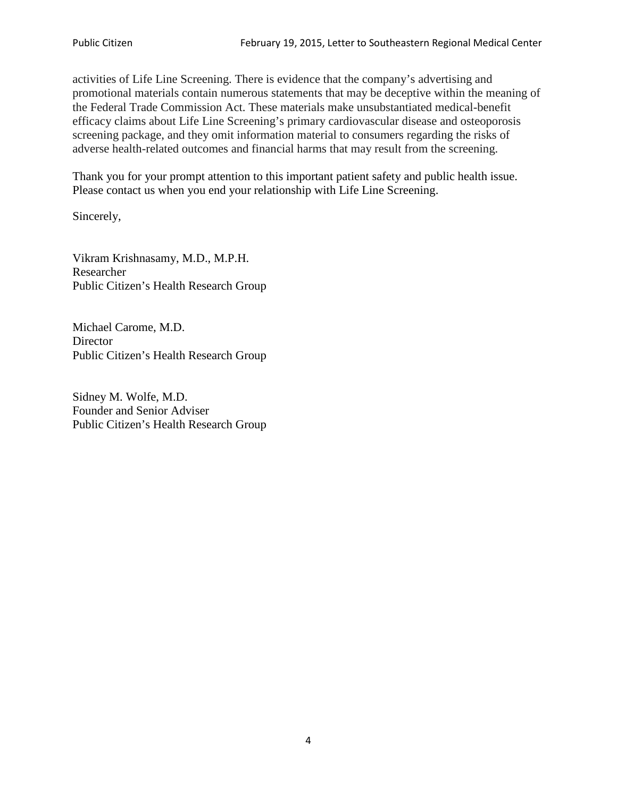activities of Life Line Screening. There is evidence that the company's advertising and promotional materials contain numerous statements that may be deceptive within the meaning of the Federal Trade Commission Act. These materials make unsubstantiated medical-benefit efficacy claims about Life Line Screening's primary cardiovascular disease and osteoporosis screening package, and they omit information material to consumers regarding the risks of adverse health-related outcomes and financial harms that may result from the screening.

Thank you for your prompt attention to this important patient safety and public health issue. Please contact us when you end your relationship with Life Line Screening.

Sincerely,

Vikram Krishnasamy, M.D., M.P.H. Researcher Public Citizen's Health Research Group

Michael Carome, M.D. **Director** Public Citizen's Health Research Group

Sidney M. Wolfe, M.D. Founder and Senior Adviser Public Citizen's Health Research Group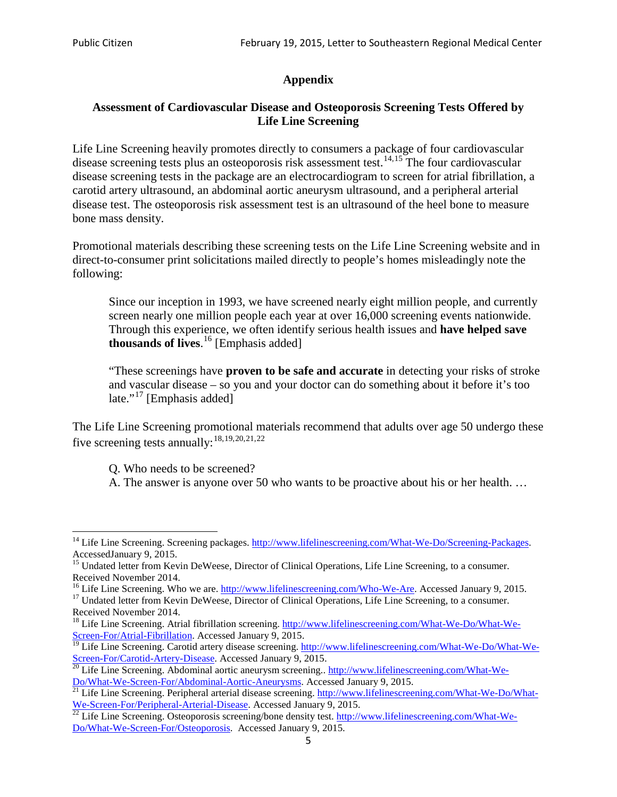# **Appendix**

## **Assessment of Cardiovascular Disease and Osteoporosis Screening Tests Offered by Life Line Screening**

Life Line Screening heavily promotes directly to consumers a package of four cardiovascular disease screening tests plus an osteoporosis risk assessment test.<sup>[14](#page-4-0),[15](#page-4-1)</sup> The four cardiovascular disease screening tests in the package are an electrocardiogram to screen for atrial fibrillation, a carotid artery ultrasound, an abdominal aortic aneurysm ultrasound, and a peripheral arterial disease test. The osteoporosis risk assessment test is an ultrasound of the heel bone to measure bone mass density.

Promotional materials describing these screening tests on the Life Line Screening website and in direct-to-consumer print solicitations mailed directly to people's homes misleadingly note the following:

Since our inception in 1993, we have screened nearly eight million people, and currently screen nearly one million people each year at over 16,000 screening events nationwide. Through this experience, we often identify serious health issues and **have helped save thousands of lives**. [16](#page-4-2) [Emphasis added]

"These screenings have **proven to be safe and accurate** in detecting your risks of stroke and vascular disease – so you and your doctor can do something about it before it's too late."<sup>[17](#page-4-3)</sup> [Emphasis added]

The Life Line Screening promotional materials recommend that adults over age 50 undergo these five screening tests annually:<sup>[18](#page-4-4),[19,](#page-4-5)[20,](#page-4-6)[21](#page-4-7),[22](#page-4-8)</sup>

Q. Who needs to be screened?

A. The answer is anyone over 50 who wants to be proactive about his or her health. …

Received November 2014.<br><sup>16</sup> Life Line Screening. Who we are. http://www.lifelinescreening.com/Who-We-Are. Accessed January 9, 2015.

<span id="page-4-3"></span><span id="page-4-2"></span><sup>17</sup> Undated letter from Kevin DeWeese, Director of Clinical Operations, Life Line Screening, to a consumer. Received November 2014.

<span id="page-4-0"></span><sup>&</sup>lt;sup>14</sup> Life Line Screening. Screening packages. [http://www.lifelinescreening.com/What-We-Do/Screening-Packages.](http://www.lifelinescreening.com/What-We-Do/Screening-Packages) AccessedJanuary 9, 2015.

<span id="page-4-1"></span><sup>&</sup>lt;sup>15</sup> Undated letter from Kevin DeWeese, Director of Clinical Operations, Life Line Screening, to a consumer.

<span id="page-4-4"></span><sup>&</sup>lt;sup>18</sup> Life Line Screening. Atrial fibrillation screening. [http://www.lifelinescreening.com/What-We-Do/What-We-](http://www.lifelinescreening.com/What-We-Do/What-We-Screen-For/Atrial-Fibrillation)[Screen-For/Atrial-Fibrillation.](http://www.lifelinescreening.com/What-We-Do/What-We-Screen-For/Atrial-Fibrillation) Accessed January 9, 2015.

<span id="page-4-5"></span><sup>&</sup>lt;sup>19</sup> Life Line Screening. Carotid artery disease screening. [http://www.lifelinescreening.com/What-We-Do/What-We-](http://www.lifelinescreening.com/What-We-Do/What-We-Screen-For/Carotid-Artery-Disease)

<span id="page-4-6"></span>[Screen-For/Carotid-Artery-Disease.](http://www.lifelinescreening.com/What-We-Do/What-We-Screen-For/Carotid-Artery-Disease) Accessed January 9, 2015.<br><sup>20</sup> Life Line Screening. Abdominal aortic aneurysm screening.. http://www.lifelinescreening.com/What-We-<br>Do/What-We-Screen-For/Abdominal-Aortic-Aneurysms. Acces

<span id="page-4-7"></span> $\frac{1}{21}$  Life Line Screening. Peripheral arterial disease screening. [http://www.lifelinescreening.com/What-We-Do/What-](http://www.lifelinescreening.com/What-We-Do/What-We-Screen-For/Peripheral-Arterial-Disease)

<span id="page-4-8"></span>[We-Screen-For/Peripheral-Arterial-Disease.](http://www.lifelinescreening.com/What-We-Do/What-We-Screen-For/Peripheral-Arterial-Disease) Accessed January 9, 2015.<br><sup>22</sup> Life Line Screening. Osteoporosis screening/bone density test. [http://www.lifelinescreening.com/What-We-](http://www.lifelinescreening.com/What-We-Do/What-We-Screen-For/Osteoporosis)[Do/What-We-Screen-For/Osteoporosis.](http://www.lifelinescreening.com/What-We-Do/What-We-Screen-For/Osteoporosis) Accessed January 9, 2015.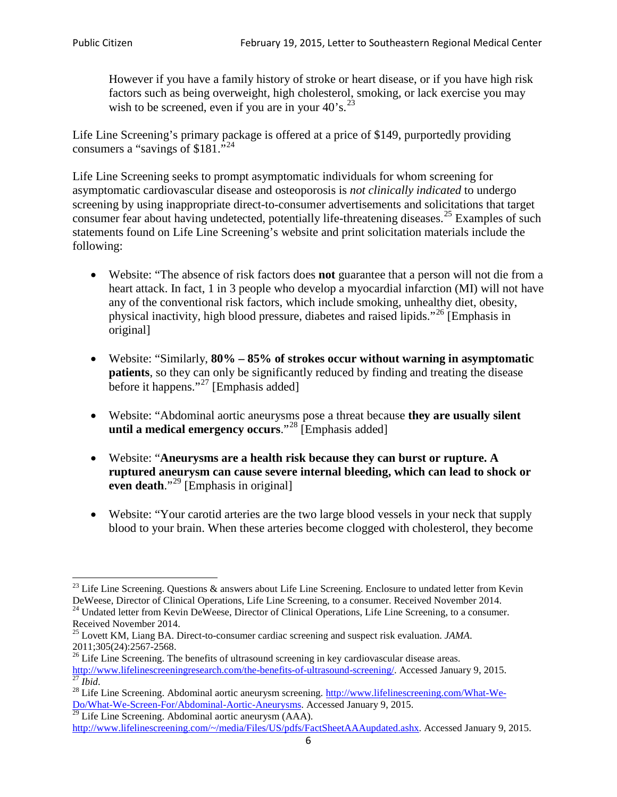However if you have a family history of stroke or heart disease, or if you have high risk factors such as being overweight, high cholesterol, smoking, or lack exercise you may wish to be screened, even if you are in your  $40^\circ$ s.<sup>[23](#page-5-0)</sup>

Life Line Screening's primary package is offered at a price of \$149, purportedly providing consumers a "savings of \$181."<sup>[24](#page-5-1)</sup>

Life Line Screening seeks to prompt asymptomatic individuals for whom screening for asymptomatic cardiovascular disease and osteoporosis is *not clinically indicated* to undergo screening by using inappropriate direct-to-consumer advertisements and solicitations that target consumer fear about having undetected, potentially life-threatening diseases.<sup>[25](#page-5-2)</sup> Examples of such statements found on Life Line Screening's website and print solicitation materials include the following:

- Website: "The absence of risk factors does **not** guarantee that a person will not die from a heart attack. In fact, 1 in 3 people who develop a myocardial infarction (MI) will not have any of the conventional risk factors, which include smoking, unhealthy diet, obesity, physical inactivity, high blood pressure, diabetes and raised lipids."[26](#page-5-3) [Emphasis in original]
- Website: "Similarly, **80% – 85% of strokes occur without warning in asymptomatic patients**, so they can only be significantly reduced by finding and treating the disease before it happens."<sup>[27](#page-5-4)</sup> [Emphasis added]
- Website: "Abdominal aortic aneurysms pose a threat because **they are usually silent until a medical emergency occurs**."[28](#page-5-5) [Emphasis added]
- Website: "**Aneurysms are a health risk because they can burst or rupture. A ruptured aneurysm can cause severe internal bleeding, which can lead to shock or even death.**"<sup>[29](#page-5-6)</sup> [Emphasis in original]
- Website: "Your carotid arteries are the two large blood vessels in your neck that supply blood to your brain. When these arteries become clogged with cholesterol, they become

<span id="page-5-0"></span><sup>&</sup>lt;sup>23</sup> Life Line Screening. Questions  $\&$  answers about Life Line Screening. Enclosure to undated letter from Kevin DeWeese, Director of Clinical Operations, Life Line Screening, to a consumer. Received November 2014.

<span id="page-5-1"></span><sup>&</sup>lt;sup>24</sup> Undated letter from Kevin DeWeese, Director of Clinical Operations, Life Line Screening, to a consumer. Received November 2014.

<span id="page-5-2"></span><sup>25</sup> Lovett KM, Liang BA. Direct-to-consumer cardiac screening and suspect risk evaluation. *JAMA*.  $2011;305(24):2567-2568$ .<br><sup>26</sup> Life Line Screening. The benefits of ultrasound screening in key cardiovascular disease areas.

<span id="page-5-3"></span>[http://www.lifelinescreeningresearch.com/the-benefits-of-ultrasound-screening/.](http://www.lifelinescreeningresearch.com/the-benefits-of-ultrasound-screening/) Accessed January 9, 2015.<br><sup>28</sup> Life Line Screening. Abdominal aortic aneurysm screening. http://www.lifelinescreening.com/What-We-<sup>28</sup>

<span id="page-5-5"></span><span id="page-5-4"></span>[Do/What-We-Screen-For/Abdominal-Aortic-Aneurysms.](http://www.lifelinescreening.com/What-We-Do/What-We-Screen-For/Abdominal-Aortic-Aneurysms) Accessed January 9, 2015. <sup>29</sup> Life Line Screening. Abdominal aortic aneurysm (AAA).

<span id="page-5-6"></span>[http://www.lifelinescreening.com/~/media/Files/US/pdfs/FactSheetAAAupdated.ashx.](http://www.lifelinescreening.com/~/media/Files/US/pdfs/FactSheetAAAupdated.ashx) Accessed January 9, 2015.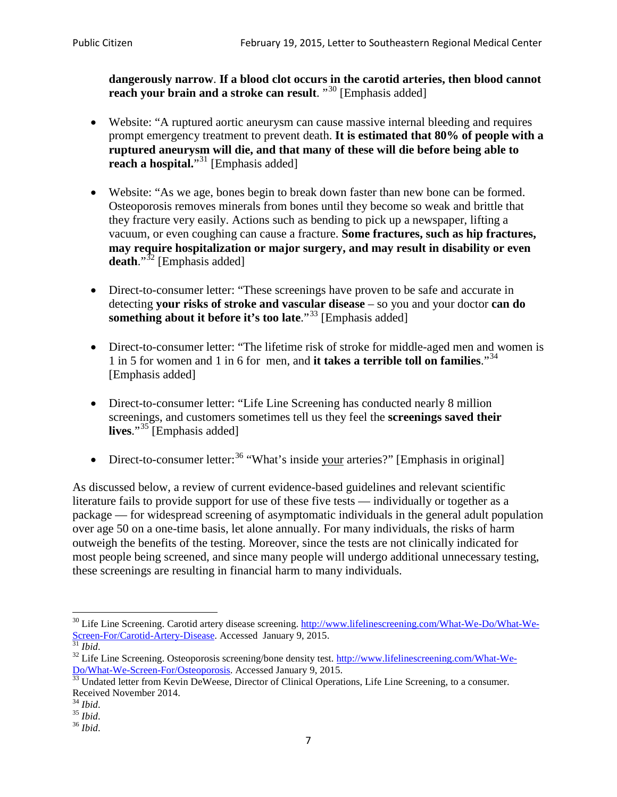**dangerously narrow**. **If a blood clot occurs in the carotid arteries, then blood cannot reach your brain and a stroke can result**. "<sup>[30](#page-6-0)</sup> [Emphasis added]

- Website: "A ruptured aortic aneurysm can cause massive internal bleeding and requires prompt emergency treatment to prevent death. **It is estimated that 80% of people with a ruptured aneurysm will die, and that many of these will die before being able to reach a hospital.**"<sup>[31](#page-6-1)</sup> [Emphasis added]
- Website: "As we age, bones begin to break down faster than new bone can be formed. Osteoporosis removes minerals from bones until they become so weak and brittle that they fracture very easily. Actions such as bending to pick up a newspaper, lifting a vacuum, or even coughing can cause a fracture. **Some fractures, such as hip fractures, may require hospitalization or major surgery, and may result in disability or even**  death."<sup>[32](#page-6-2)</sup> [Emphasis added]
- Direct-to-consumer letter: "These screenings have proven to be safe and accurate in detecting **your risks of stroke and vascular disease** – so you and your doctor **can do something about it before it's too late.**"<sup>[33](#page-6-3)</sup> [Emphasis added]
- Direct-to-consumer letter: "The lifetime risk of stroke for middle-aged men and women is 1 in 5 for women and 1 in 6 for men, and **it takes a terrible toll on families**."[34](#page-6-4) [Emphasis added]
- Direct-to-consumer letter: "Life Line Screening has conducted nearly 8 million screenings, and customers sometimes tell us they feel the **screenings saved their lives**."[35](#page-6-5) [Emphasis added]
- Direct-to-consumer letter:  $36$  "What's inside your arteries?" [Emphasis in original]

As discussed below, a review of current evidence-based guidelines and relevant scientific literature fails to provide support for use of these five tests — individually or together as a package — for widespread screening of asymptomatic individuals in the general adult population over age 50 on a one-time basis, let alone annually. For many individuals, the risks of harm outweigh the benefits of the testing. Moreover, since the tests are not clinically indicated for most people being screened, and since many people will undergo additional unnecessary testing, these screenings are resulting in financial harm to many individuals.

<span id="page-6-0"></span><sup>&</sup>lt;sup>30</sup> Life Line Screening. Carotid artery disease screening. [http://www.lifelinescreening.com/What-We-Do/What-We-](http://www.lifelinescreening.com/What-We-Do/What-We-Screen-For/Carotid-Artery-Disease)[Screen-For/Carotid-Artery-Disease.](http://www.lifelinescreening.com/What-We-Do/What-We-Screen-For/Carotid-Artery-Disease) Accessed January 9, 2015.<br><sup>31</sup> *Ibid.* 32 Life Line Screening. Osteoporosis screening/bone density test. [http://www.lifelinescreening.com/What-We-](http://www.lifelinescreening.com/What-We-Do/What-We-Screen-For/Osteoporosis)

<span id="page-6-2"></span><span id="page-6-1"></span>[Do/What-We-Screen-For/Osteoporosis.](http://www.lifelinescreening.com/What-We-Do/What-We-Screen-For/Osteoporosis) Accessed January 9, 2015. <sup>33</sup> Undated letter from Kevin DeWeese, Director of Clinical Operations, Life Line Screening, to a consumer.

<span id="page-6-3"></span>Received November 2014.<br><sup>34</sup> Ibid.

<span id="page-6-4"></span>

<span id="page-6-5"></span><sup>34</sup> *Ibid*. 35 *Ibid*. 36 *Ibid*.

<span id="page-6-6"></span>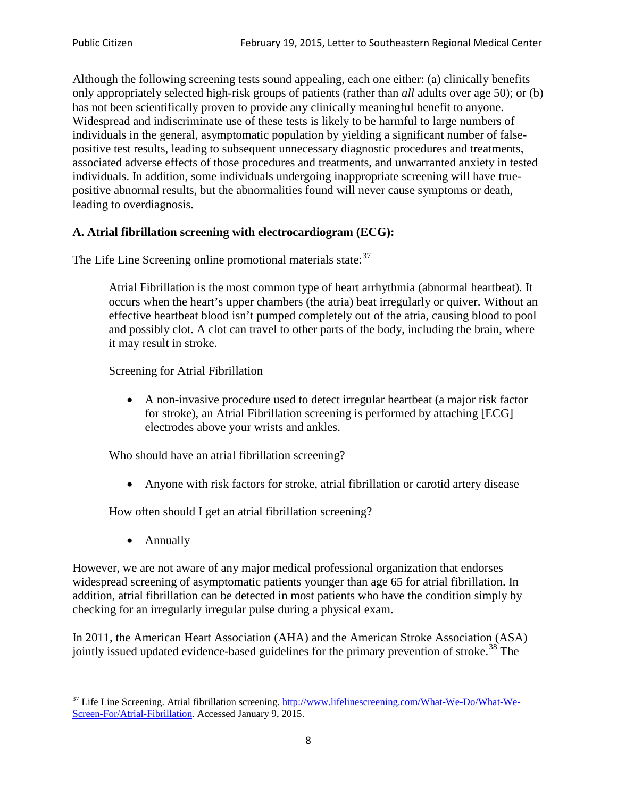Although the following screening tests sound appealing, each one either: (a) clinically benefits only appropriately selected high-risk groups of patients (rather than *all* adults over age 50); or (b) has not been scientifically proven to provide any clinically meaningful benefit to anyone. Widespread and indiscriminate use of these tests is likely to be harmful to large numbers of individuals in the general, asymptomatic population by yielding a significant number of falsepositive test results, leading to subsequent unnecessary diagnostic procedures and treatments, associated adverse effects of those procedures and treatments, and unwarranted anxiety in tested individuals. In addition, some individuals undergoing inappropriate screening will have truepositive abnormal results, but the abnormalities found will never cause symptoms or death, leading to overdiagnosis.

## **A. Atrial fibrillation screening with electrocardiogram (ECG):**

The Life Line Screening online promotional materials state:<sup>[37](#page-7-0)</sup>

Atrial Fibrillation is the most common type of heart arrhythmia (abnormal heartbeat). It occurs when the heart's upper chambers (the atria) beat irregularly or quiver. Without an effective heartbeat blood isn't pumped completely out of the atria, causing blood to pool and possibly clot. A clot can travel to other parts of the body, including the brain, where it may result in stroke.

Screening for Atrial Fibrillation

• A non-invasive procedure used to detect irregular heartbeat (a major risk factor for stroke), an Atrial Fibrillation screening is performed by attaching [ECG] electrodes above your wrists and ankles.

Who should have an atrial fibrillation screening?

• Anyone with risk factors for stroke, atrial fibrillation or carotid artery disease

How often should I get an atrial fibrillation screening?

• Annually

<span id="page-7-1"></span>However, we are not aware of any major medical professional organization that endorses widespread screening of asymptomatic patients younger than age 65 for atrial fibrillation. In addition, atrial fibrillation can be detected in most patients who have the condition simply by checking for an irregularly irregular pulse during a physical exam.

In 2011, the American Heart Association (AHA) and the American Stroke Association (ASA) jointly issued updated evidence-based guidelines for the primary prevention of stroke.<sup>[38](#page-7-1)</sup> The

<span id="page-7-0"></span><sup>&</sup>lt;sup>37</sup> Life Line Screening. Atrial fibrillation screening. [http://www.lifelinescreening.com/What-We-Do/What-We-](http://www.lifelinescreening.com/What-We-Do/What-We-Screen-For/Atrial-Fibrillation)[Screen-For/Atrial-Fibrillation.](http://www.lifelinescreening.com/What-We-Do/What-We-Screen-For/Atrial-Fibrillation) Accessed January 9, 2015.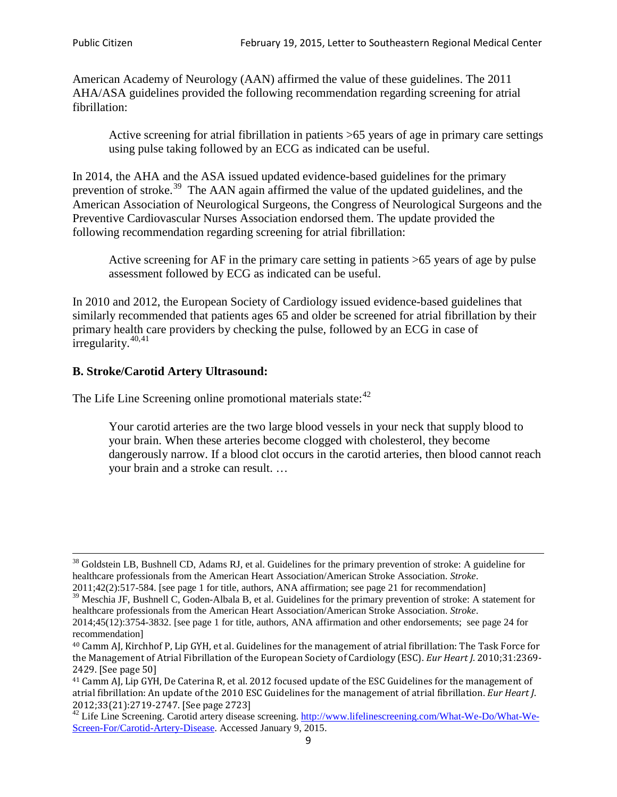American Academy of Neurology (AAN) affirmed the value of these guidelines. The 2011 AHA/ASA guidelines provided the following recommendation regarding screening for atrial fibrillation:

Active screening for atrial fibrillation in patients >65 years of age in primary care settings using pulse taking followed by an ECG as indicated can be useful.

In 2014, the AHA and the ASA issued updated evidence-based guidelines for the primary prevention of stroke.<sup>[39](#page-8-0)</sup> The AAN again affirmed the value of the updated guidelines, and the American Association of Neurological Surgeons, the Congress of Neurological Surgeons and the Preventive Cardiovascular Nurses Association endorsed them. The update provided the following recommendation regarding screening for atrial fibrillation:

Active screening for AF in the primary care setting in patients >65 years of age by pulse assessment followed by ECG as indicated can be useful.

In 2010 and 2012, the European Society of Cardiology issued evidence-based guidelines that similarly recommended that patients ages 65 and older be screened for atrial fibrillation by their primary health care providers by checking the pulse, followed by an ECG in case of irregularity. $40,41$  $40,41$ 

# **B. Stroke/Carotid Artery Ultrasound:**

The Life Line Screening online promotional materials state:<sup>[42](#page-8-3)</sup>

Your carotid arteries are the two large blood vessels in your neck that supply blood to your brain. When these arteries become clogged with cholesterol, they become dangerously narrow. If a blood clot occurs in the carotid arteries, then blood cannot reach your brain and a stroke can result. …

<sup>&</sup>lt;sup>38</sup> Goldstein LB, Bushnell CD, Adams RJ, et al. Guidelines for the primary prevention of stroke: A guideline for healthcare professionals from the American Heart Association/American Stroke Association. *Stroke*.

<sup>2011;42(2):517-584.</sup> [see page 1 for title, authors, ANA affirmation; see page 21 for recommendation]

<span id="page-8-0"></span> $\frac{2011,42(2)(317,601)}{39}$  Meschia JF, Bushnell C, Goden-Albala B, et al. Guidelines for the primary prevention of stroke: A statement for healthcare professionals from the American Heart Association/American Stroke Association. *Stroke*.

<sup>2014;45(12):3754-3832.</sup> [see page 1 for title, authors, ANA affirmation and other endorsements; see page 24 for recommendation]

<span id="page-8-1"></span><sup>40</sup> Camm AJ, Kirchhof P, Lip GYH, et al. Guidelines for the management of atrial fibrillation: The Task Force for the Management of Atrial Fibrillation of the European Society of Cardiology (ESC). *Eur Heart J*. 2010;31:2369- 2429. [See page 50]

<span id="page-8-2"></span><sup>41</sup> Camm AJ, Lip GYH, De Caterina R, et al. 2012 focused update of the ESC Guidelines for the management of atrial fibrillation: An update of the 2010 ESC Guidelines for the management of atrial fibrillation. *Eur Heart J*.

<span id="page-8-3"></span><sup>&</sup>lt;sup>2012</sup>;23(21):2719-2747. [See page 273] 42 Life Line Screening. [http://www.lifelinescreening.com/What-We-Do/What-We-](http://www.lifelinescreening.com/What-We-Do/What-We-Screen-For/Carotid-Artery-Disease)[Screen-For/Carotid-Artery-Disease.](http://www.lifelinescreening.com/What-We-Do/What-We-Screen-For/Carotid-Artery-Disease) Accessed January 9, 2015.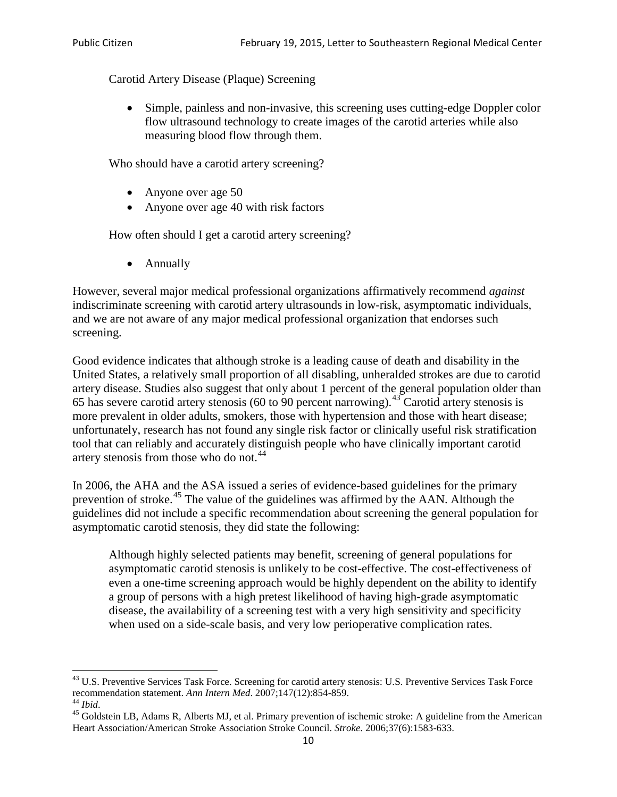Carotid Artery Disease (Plaque) Screening

• Simple, painless and non-invasive, this screening uses cutting-edge Doppler color flow ultrasound technology to create images of the carotid arteries while also measuring blood flow through them.

Who should have a carotid artery screening?

- Anyone over age 50
- Anyone over age 40 with risk factors

How often should I get a carotid artery screening?

• Annually

However, several major medical professional organizations affirmatively recommend *against* indiscriminate screening with carotid artery ultrasounds in low-risk, asymptomatic individuals, and we are not aware of any major medical professional organization that endorses such screening.

Good evidence indicates that although stroke is a leading cause of death and disability in the United States, a relatively small proportion of all disabling, unheralded strokes are due to carotid artery disease. Studies also suggest that only about 1 percent of the general population older than 65 has severe carotid artery stenosis (60 to 90 percent narrowing).<sup>[43](#page-9-0)</sup> Carotid artery stenosis is more prevalent in older adults, smokers, those with hypertension and those with heart disease; unfortunately, research has not found any single risk factor or clinically useful risk stratification tool that can reliably and accurately distinguish people who have clinically important carotid artery stenosis from those who do not.<sup>[44](#page-9-1)</sup>

In 2006, the AHA and the ASA issued a series of evidence-based guidelines for the primary prevention of stroke.[45](#page-9-2) The value of the guidelines was affirmed by the AAN. Although the guidelines did not include a specific recommendation about screening the general population for asymptomatic carotid stenosis, they did state the following:

Although highly selected patients may benefit, screening of general populations for asymptomatic carotid stenosis is unlikely to be cost-effective. The cost-effectiveness of even a one-time screening approach would be highly dependent on the ability to identify a group of persons with a high pretest likelihood of having high-grade asymptomatic disease, the availability of a screening test with a very high sensitivity and specificity when used on a side-scale basis, and very low perioperative complication rates.

<span id="page-9-0"></span> $^{43}$  U.S. Preventive Services Task Force. Screening for carotid artery stenosis: U.S. Preventive Services Task Force recommendation statement. Ann Intern Med. 2007;147(12):854-859.

<span id="page-9-2"></span><span id="page-9-1"></span><sup>&</sup>lt;sup>44</sup> *Ibid*. <sup>45</sup> Goldstein LB, Adams R, Alberts MJ, et al. Primary prevention of ischemic stroke: A guideline from the American <sup>45</sup> Goldstein LB, Adams R, Alberts MJ, et al. Primary prevention of ischemic stroke: A guide Heart Association/American Stroke Association Stroke Council. *Stroke*. 2006;37(6):1583-633.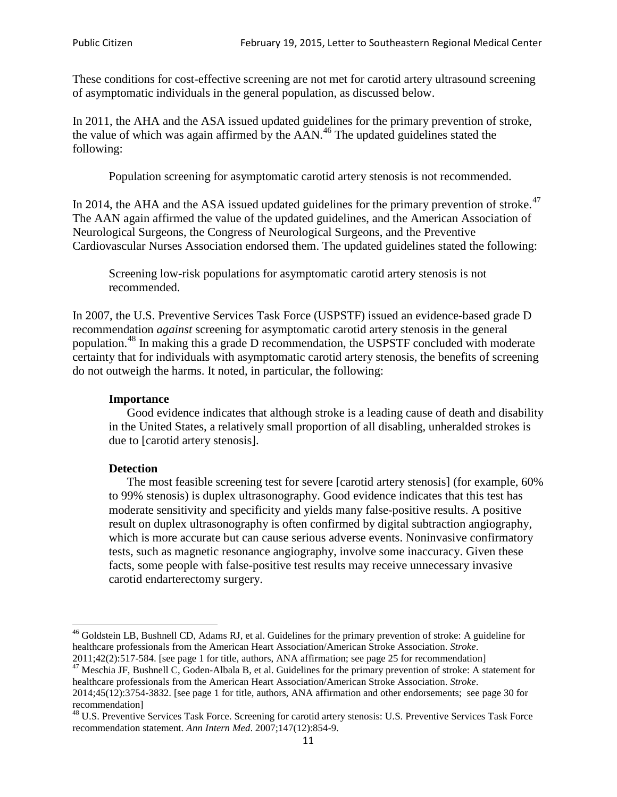These conditions for cost-effective screening are not met for carotid artery ultrasound screening of asymptomatic individuals in the general population, as discussed below.

In 2011, the AHA and the ASA issued updated guidelines for the primary prevention of stroke, the value of which was again affirmed by the  $AAN<sup>46</sup>$  $AAN<sup>46</sup>$  $AAN<sup>46</sup>$ . The updated guidelines stated the following:

Population screening for asymptomatic carotid artery stenosis is not recommended.

In 2014, the AHA and the ASA issued updated guidelines for the primary prevention of stroke. $47$ The AAN again affirmed the value of the updated guidelines, and the American Association of Neurological Surgeons, the Congress of Neurological Surgeons, and the Preventive Cardiovascular Nurses Association endorsed them. The updated guidelines stated the following:

Screening low-risk populations for asymptomatic carotid artery stenosis is not recommended.

In 2007, the U.S. Preventive Services Task Force (USPSTF) issued an evidence-based grade D recommendation *against* screening for asymptomatic carotid artery stenosis in the general population.[48](#page-10-2) In making this a grade D recommendation, the USPSTF concluded with moderate certainty that for individuals with asymptomatic carotid artery stenosis, the benefits of screening do not outweigh the harms. It noted, in particular, the following:

#### **Importance**

Good evidence indicates that although stroke is a leading cause of death and disability in the United States, a relatively small proportion of all disabling, unheralded strokes is due to [carotid artery stenosis].

#### **Detection**

The most feasible screening test for severe [carotid artery stenosis] (for example, 60% to 99% stenosis) is duplex ultrasonography. Good evidence indicates that this test has moderate sensitivity and specificity and yields many false-positive results. A positive result on duplex ultrasonography is often confirmed by digital subtraction angiography, which is more accurate but can cause serious adverse events. Noninvasive confirmatory tests, such as magnetic resonance angiography, involve some inaccuracy. Given these facts, some people with false-positive test results may receive unnecessary invasive carotid endarterectomy surgery.

<span id="page-10-0"></span><sup>&</sup>lt;sup>46</sup> Goldstein LB, Bushnell CD, Adams RJ, et al. Guidelines for the primary prevention of stroke: A guideline for healthcare professionals from the American Heart Association/American Stroke Association. *Stroke*.<br>2011;42(2):517-584. [see page 1 for title, authors, ANA affirmation; see page 25 for recommendation]

<span id="page-10-1"></span><sup>&</sup>lt;sup>47</sup> Meschia JF, Bushnell C, Goden-Albala B, et al. Guidelines for the primary prevention of stroke: A statement for healthcare professionals from the American Heart Association/American Stroke Association. *Stroke*. 2014;45(12):3754-3832. [see page 1 for title, authors, ANA affirmation and other endorsements; see page 30 for

recommendation] <sup>48</sup> U.S. Preventive Services Task Force. Screening for carotid artery stenosis: U.S. Preventive Services Task Force

<span id="page-10-2"></span>recommendation statement. *Ann Intern Med*. 2007;147(12):854-9.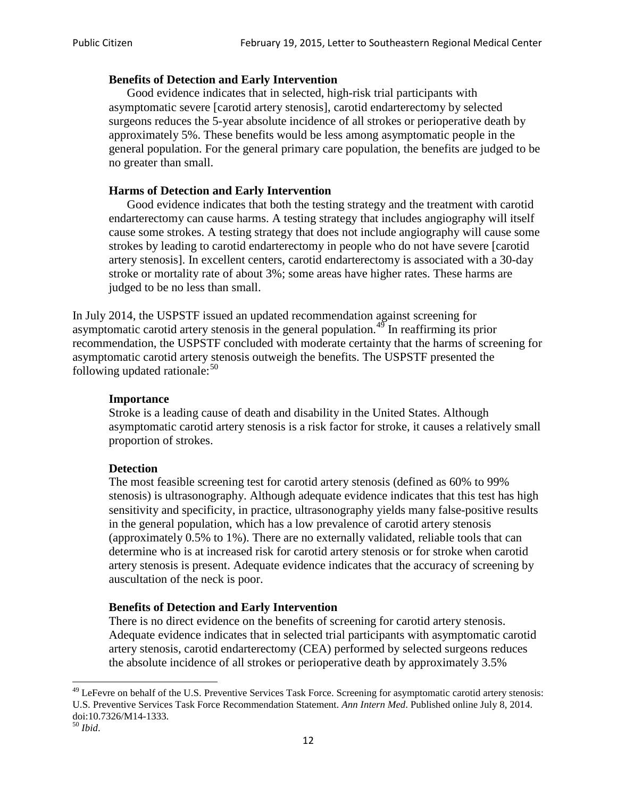#### **Benefits of Detection and Early Intervention**

Good evidence indicates that in selected, high-risk trial participants with asymptomatic severe [carotid artery stenosis], carotid endarterectomy by selected surgeons reduces the 5-year absolute incidence of all strokes or perioperative death by approximately 5%. These benefits would be less among asymptomatic people in the general population. For the general primary care population, the benefits are judged to be no greater than small.

### **Harms of Detection and Early Intervention**

Good evidence indicates that both the testing strategy and the treatment with carotid endarterectomy can cause harms. A testing strategy that includes angiography will itself cause some strokes. A testing strategy that does not include angiography will cause some strokes by leading to carotid endarterectomy in people who do not have severe [carotid artery stenosis]. In excellent centers, carotid endarterectomy is associated with a 30-day stroke or mortality rate of about 3%; some areas have higher rates. These harms are judged to be no less than small.

In July 2014, the USPSTF issued an updated recommendation against screening for asymptomatic carotid artery stenosis in the general population.<sup>[49](#page-11-0)</sup> In reaffirming its prior recommendation, the USPSTF concluded with moderate certainty that the harms of screening for asymptomatic carotid artery stenosis outweigh the benefits. The USPSTF presented the following updated rationale: $50$ 

#### **Importance**

Stroke is a leading cause of death and disability in the United States. Although asymptomatic carotid artery stenosis is a risk factor for stroke, it causes a relatively small proportion of strokes.

#### **Detection**

The most feasible screening test for carotid artery stenosis (defined as 60% to 99% stenosis) is ultrasonography. Although adequate evidence indicates that this test has high sensitivity and specificity, in practice, ultrasonography yields many false-positive results in the general population, which has a low prevalence of carotid artery stenosis (approximately 0.5% to 1%). There are no externally validated, reliable tools that can determine who is at increased risk for carotid artery stenosis or for stroke when carotid artery stenosis is present. Adequate evidence indicates that the accuracy of screening by auscultation of the neck is poor.

## **Benefits of Detection and Early Intervention**

There is no direct evidence on the benefits of screening for carotid artery stenosis. Adequate evidence indicates that in selected trial participants with asymptomatic carotid artery stenosis, carotid endarterectomy (CEA) performed by selected surgeons reduces the absolute incidence of all strokes or perioperative death by approximately 3.5%

<span id="page-11-0"></span><sup>&</sup>lt;sup>49</sup> LeFevre on behalf of the U.S. Preventive Services Task Force. Screening for asymptomatic carotid artery stenosis: U.S. Preventive Services Task Force Recommendation Statement. *Ann Intern Med*. Published online July 8, 2014. doi:10.7326/M14-1333. <sup>50</sup> *Ibid*.

<span id="page-11-1"></span>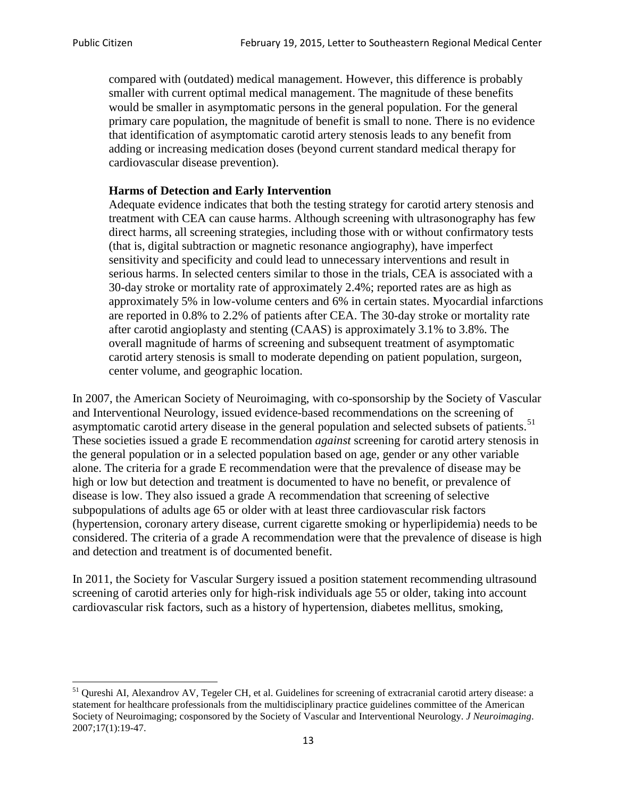compared with (outdated) medical management. However, this difference is probably smaller with current optimal medical management. The magnitude of these benefits would be smaller in asymptomatic persons in the general population. For the general primary care population, the magnitude of benefit is small to none. There is no evidence that identification of asymptomatic carotid artery stenosis leads to any benefit from adding or increasing medication doses (beyond current standard medical therapy for cardiovascular disease prevention).

## **Harms of Detection and Early Intervention**

Adequate evidence indicates that both the testing strategy for carotid artery stenosis and treatment with CEA can cause harms. Although screening with ultrasonography has few direct harms, all screening strategies, including those with or without confirmatory tests (that is, digital subtraction or magnetic resonance angiography), have imperfect sensitivity and specificity and could lead to unnecessary interventions and result in serious harms. In selected centers similar to those in the trials, CEA is associated with a 30-day stroke or mortality rate of approximately 2.4%; reported rates are as high as approximately 5% in low-volume centers and 6% in certain states. Myocardial infarctions are reported in 0.8% to 2.2% of patients after CEA. The 30-day stroke or mortality rate after carotid angioplasty and stenting (CAAS) is approximately 3.1% to 3.8%. The overall magnitude of harms of screening and subsequent treatment of asymptomatic carotid artery stenosis is small to moderate depending on patient population, surgeon, center volume, and geographic location.

In 2007, the American Society of Neuroimaging, with co-sponsorship by the Society of Vascular and Interventional Neurology, issued evidence-based recommendations on the screening of asymptomatic carotid artery disease in the general population and selected subsets of patients.<sup>[51](#page-12-0)</sup> These societies issued a grade E recommendation *against* screening for carotid artery stenosis in the general population or in a selected population based on age, gender or any other variable alone. The criteria for a grade E recommendation were that the prevalence of disease may be high or low but detection and treatment is documented to have no benefit, or prevalence of disease is low. They also issued a grade A recommendation that screening of selective subpopulations of adults age 65 or older with at least three cardiovascular risk factors (hypertension, coronary artery disease, current cigarette smoking or hyperlipidemia) needs to be considered. The criteria of a grade A recommendation were that the prevalence of disease is high and detection and treatment is of documented benefit.

In 2011, the Society for Vascular Surgery issued a position statement recommending ultrasound screening of carotid arteries only for high-risk individuals age 55 or older, taking into account cardiovascular risk factors, such as a history of hypertension, diabetes mellitus, smoking,

<span id="page-12-0"></span><sup>&</sup>lt;sup>51</sup> Qureshi AI, Alexandrov AV, Tegeler CH, et al. Guidelines for screening of extracranial carotid artery disease: a statement for healthcare professionals from the multidisciplinary practice guidelines committee of the American Society of Neuroimaging; cosponsored by the Society of Vascular and Interventional Neurology. *J Neuroimaging*. 2007;17(1):19-47.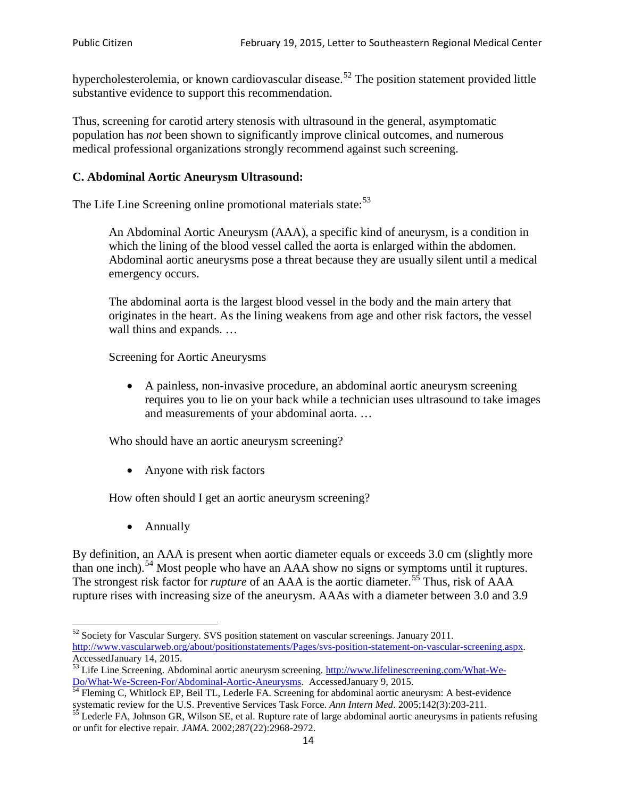hypercholesterolemia, or known cardiovascular disease.<sup>[52](#page-13-0)</sup> The position statement provided little substantive evidence to support this recommendation.

Thus, screening for carotid artery stenosis with ultrasound in the general, asymptomatic population has *not* been shown to significantly improve clinical outcomes, and numerous medical professional organizations strongly recommend against such screening.

### **C. Abdominal Aortic Aneurysm Ultrasound:**

The Life Line Screening online promotional materials state:<sup>[53](#page-13-1)</sup>

An Abdominal Aortic Aneurysm (AAA), a specific kind of aneurysm, is a condition in which the lining of the blood vessel called the aorta is enlarged within the abdomen. Abdominal aortic aneurysms pose a threat because they are usually silent until a medical emergency occurs.

The abdominal aorta is the largest blood vessel in the body and the main artery that originates in the heart. As the lining weakens from age and other risk factors, the vessel wall thins and expands. …

Screening for Aortic Aneurysms

• A painless, non-invasive procedure, an abdominal aortic aneurysm screening requires you to lie on your back while a technician uses ultrasound to take images and measurements of your abdominal aorta. …

Who should have an aortic aneurysm screening?

• Anyone with risk factors

How often should I get an aortic aneurysm screening?

• Annually

By definition, an AAA is present when aortic diameter equals or exceeds 3.0 cm (slightly more than one inch).<sup>[54](#page-13-2)</sup> Most people who have an AAA show no signs or symptoms until it ruptures. The strongest risk factor for *rupture* of an AAA is the aortic diameter.<sup>[55](#page-13-3)</sup> Thus, risk of AAA rupture rises with increasing size of the aneurysm. AAAs with a diameter between 3.0 and 3.9

<span id="page-13-0"></span><sup>&</sup>lt;sup>52</sup> Society for Vascular Surgery. SVS position statement on vascular screenings. January 2011. http://www.vascularweb.org/about/positionstatements/Pages/svs-position-statement-on-vascular-screening.aspx.<br>Accessed January 14, 2015.

<span id="page-13-1"></span>Accessed January 14, 2015.<br>
Sa Life Line Screening. Abdominal aortic aneurysm screening. http://www.lifelinescreening.com/What-We-<br>
Do/What-We-Screen-For/Abdominal-Aortic-Aneurysms. Accessed January 9, 2015.

<span id="page-13-2"></span> $\frac{54}{9}$  Fleming C, Whitlock EP, Beil TL, Lederle FA. Screening for abdominal aortic aneurysm: A best-evidence systematic review for the U.S. Preventive Services Task Force. *Ann Intern Med.* 2005;142(3):203-211.<br><sup>55</sup> Lederle FA, Johnson GR, Wilson SE, et al. Rupture rate of large abdominal aortic aneurysms in patients refusing

<span id="page-13-3"></span>or unfit for elective repair. *JAMA*. 2002;287(22):2968-2972.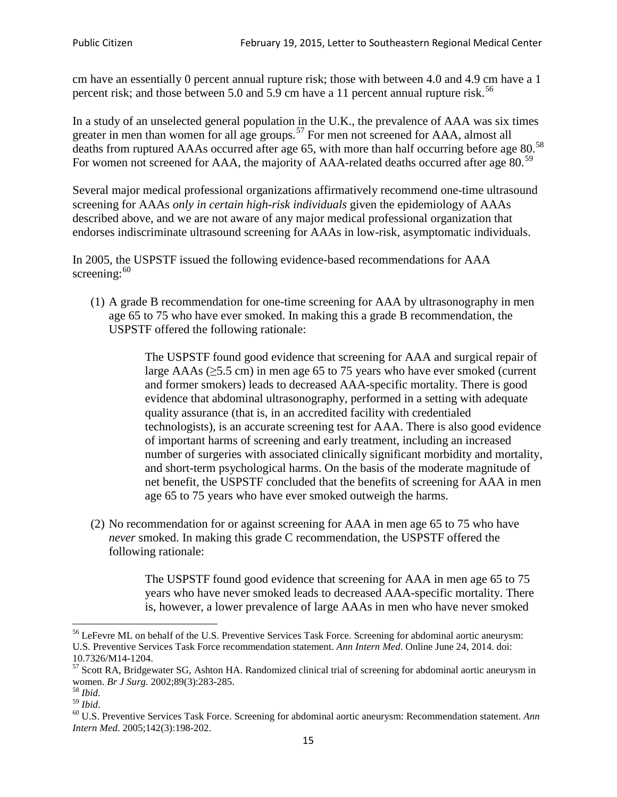cm have an essentially 0 percent annual rupture risk; those with between 4.0 and 4.9 cm have a 1 percent risk; and those between 5.0 and 5.9 cm have a 11 percent annual rupture risk.<sup>[56](#page-14-0)</sup>

In a study of an unselected general population in the U.K., the prevalence of AAA was six times greater in men than women for all age groups.<sup>[57](#page-14-1)</sup> For men not screened for  $AAA$ , almost all deaths from ruptured AAAs occurred after age 65, with more than half occurring before age 80.<sup>[58](#page-14-2)</sup> For women not screened for AAA, the majority of AAA-related deaths occurred after age 80.<sup>[59](#page-14-3)</sup>

Several major medical professional organizations affirmatively recommend one-time ultrasound screening for AAAs *only in certain high-risk individuals* given the epidemiology of AAAs described above, and we are not aware of any major medical professional organization that endorses indiscriminate ultrasound screening for AAAs in low-risk, asymptomatic individuals.

In 2005, the USPSTF issued the following evidence-based recommendations for AAA screening: $60$ 

(1) A grade B recommendation for one-time screening for AAA by ultrasonography in men age 65 to 75 who have ever smoked. In making this a grade [B recommendation,](http://www.uspreventiveservicestaskforce.org/uspstf/gradespre.htm#brec) the USPSTF offered the following rationale:

> The USPSTF found good evidence that screening for AAA and surgical repair of large AAAs ( $\geq$ 5.5 cm) in men age 65 to 75 years who have ever smoked (current and former smokers) leads to decreased AAA-specific mortality. There is good evidence that abdominal ultrasonography, performed in a setting with adequate quality assurance (that is, in an accredited facility with credentialed technologists), is an accurate screening test for AAA. There is also good evidence of important harms of screening and early treatment, including an increased number of surgeries with associated clinically significant morbidity and mortality, and short-term psychological harms. On the basis of the moderate magnitude of net benefit, the USPSTF concluded that the benefits of screening for AAA in men age 65 to 75 years who have ever smoked outweigh the harms.

(2) No recommendation for or against screening for AAA in men age 65 to 75 who have *never* smoked. In making this grade C recommendation, the USPSTF offered the following rationale:

> The USPSTF found good evidence that screening for AAA in men age 65 to 75 years who have never smoked leads to decreased AAA-specific mortality. There is, however, a lower prevalence of large AAAs in men who have never smoked

<span id="page-14-0"></span><sup>&</sup>lt;sup>56</sup> LeFevre ML on behalf of the U.S. Preventive Services Task Force. Screening for abdominal aortic aneurysm: U.S. Preventive Services Task Force recommendation statement. *Ann Intern Med*. Online June 24, 2014. doi:

<span id="page-14-1"></span><sup>10.7326/</sup>M14-1204.<br> $57$  Scott RA, Bridgewater SG, Ashton HA. Randomized clinical trial of screening for abdominal aortic aneurysm in women. *Br J Surg.* 2002;89(3):283-285.

<span id="page-14-4"></span><span id="page-14-3"></span>

<span id="page-14-2"></span><sup>&</sup>lt;sup>58</sup> *Ibid.*<br><sup>59</sup> *Ibid.* 2002;<br><sup>60</sup> U.S. Preventive Services Task Force. Screening for abdominal aortic aneurysm: Recommendation statement. *Ann Intern Med*. 2005;142(3):198-202.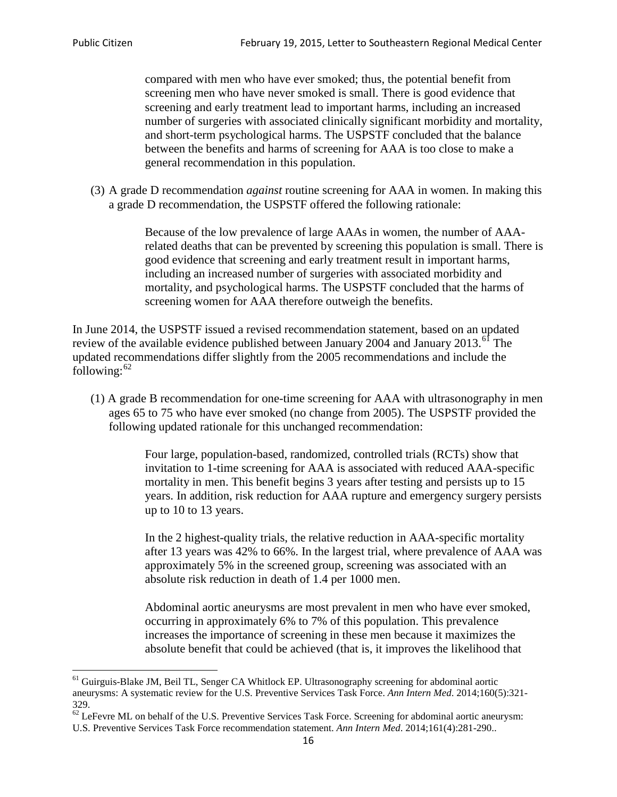compared with men who have ever smoked; thus, the potential benefit from screening men who have never smoked is small. There is good evidence that screening and early treatment lead to important harms, including an increased number of surgeries with associated clinically significant morbidity and mortality, and short-term psychological harms. The USPSTF concluded that the balance between the benefits and harms of screening for AAA is too close to make a general recommendation in this population.

(3) A grade D recommendation *against* routine screening for AAA in women. In making this a grade D recommendation, the USPSTF offered the following rationale:

> Because of the low prevalence of large AAAs in women, the number of AAArelated deaths that can be prevented by screening this population is small. There is good evidence that screening and early treatment result in important harms, including an increased number of surgeries with associated morbidity and mortality, and psychological harms. The USPSTF concluded that the harms of screening women for AAA therefore outweigh the benefits.

In June 2014, the USPSTF issued a revised recommendation statement, based on an updated review of the available evidence published between January 2004 and January 2013.<sup>[61](#page-15-0)</sup> The updated recommendations differ slightly from the 2005 recommendations and include the following: $62$ 

(1) A grade B recommendation for one-time screening for AAA with ultrasonography in men ages 65 to 75 who have ever smoked (no change from 2005). The USPSTF provided the following updated rationale for this unchanged recommendation:

> Four large, population-based, randomized, controlled trials (RCTs) show that invitation to 1-time screening for AAA is associated with reduced AAA-specific mortality in men. This benefit begins 3 years after testing and persists up to 15 years. In addition, risk reduction for AAA rupture and emergency surgery persists up to 10 to 13 years.

> In the 2 highest-quality trials, the relative reduction in AAA-specific mortality after 13 years was 42% to 66%. In the largest trial, where prevalence of AAA was approximately 5% in the screened group, screening was associated with an absolute risk reduction in death of 1.4 per 1000 men.

Abdominal aortic aneurysms are most prevalent in men who have ever smoked, occurring in approximately 6% to 7% of this population. This prevalence increases the importance of screening in these men because it maximizes the absolute benefit that could be achieved (that is, it improves the likelihood that

<span id="page-15-0"></span><sup>61</sup> Guirguis-Blake JM, Beil TL, Senger CA Whitlock EP. Ultrasonography screening for abdominal aortic aneurysms: A systematic review for the U.S. Preventive Services Task Force. *Ann Intern Med*. 2014;160(5):321- 329.

<span id="page-15-1"></span> $62$  LeFevre ML on behalf of the U.S. Preventive Services Task Force. Screening for abdominal aortic aneurysm: U.S. Preventive Services Task Force recommendation statement. *Ann Intern Med*. 2014;161(4):281-290..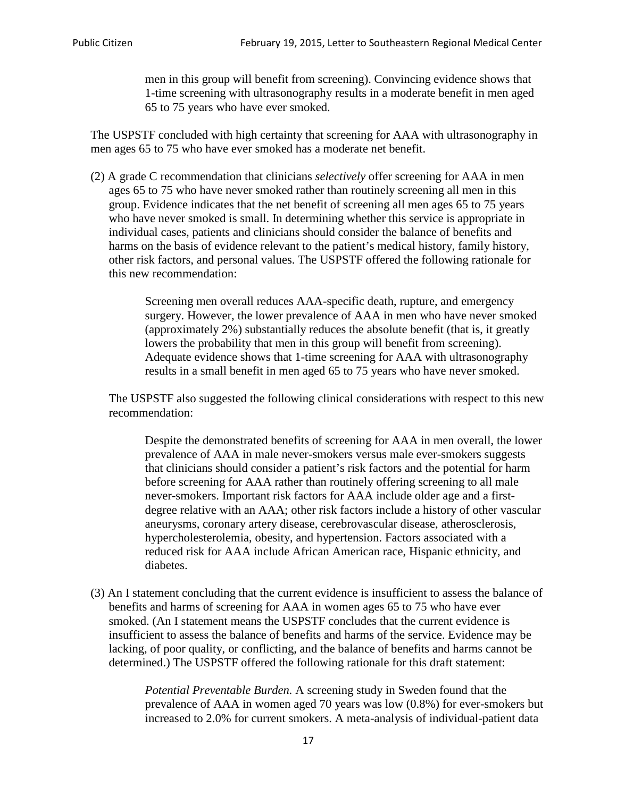men in this group will benefit from screening). Convincing evidence shows that 1-time screening with ultrasonography results in a moderate benefit in men aged 65 to 75 years who have ever smoked.

The USPSTF concluded with high certainty that screening for AAA with ultrasonography in men ages 65 to 75 who have ever smoked has a moderate net benefit.

(2) A grade C recommendation that clinicians *selectively* offer screening for AAA in men ages 65 to 75 who have never smoked rather than routinely screening all men in this group. Evidence indicates that the net benefit of screening all men ages 65 to 75 years who have never smoked is small. In determining whether this service is appropriate in individual cases, patients and clinicians should consider the balance of benefits and harms on the basis of evidence relevant to the patient's medical history, family history, other risk factors, and personal values. The USPSTF offered the following rationale for this new recommendation:

> Screening men overall reduces AAA-specific death, rupture, and emergency surgery. However, the lower prevalence of AAA in men who have never smoked (approximately 2%) substantially reduces the absolute benefit (that is, it greatly lowers the probability that men in this group will benefit from screening). Adequate evidence shows that 1-time screening for AAA with ultrasonography results in a small benefit in men aged 65 to 75 years who have never smoked.

The USPSTF also suggested the following clinical considerations with respect to this new recommendation:

Despite the demonstrated benefits of screening for AAA in men overall, the lower prevalence of AAA in male never-smokers versus male ever-smokers suggests that clinicians should consider a patient's risk factors and the potential for harm before screening for AAA rather than routinely offering screening to all male never-smokers. Important risk factors for AAA include older age and a firstdegree relative with an AAA; other risk factors include a history of other vascular aneurysms, coronary artery disease, cerebrovascular disease, atherosclerosis, hypercholesterolemia, obesity, and hypertension. Factors associated with a reduced risk for AAA include African American race, Hispanic ethnicity, and diabetes.

(3) An I statement concluding that the current evidence is insufficient to assess the balance of benefits and harms of screening for AAA in women ages 65 to 75 who have ever smoked. (An I statement means the USPSTF concludes that the current evidence is insufficient to assess the balance of benefits and harms of the service. Evidence may be lacking, of poor quality, or conflicting, and the balance of benefits and harms cannot be determined.) The USPSTF offered the following rationale for this draft statement:

> *Potential Preventable Burden.* A screening study in Sweden found that the prevalence of AAA in women aged 70 years was low (0.8%) for ever-smokers but increased to 2.0% for current smokers. A meta-analysis of individual-patient data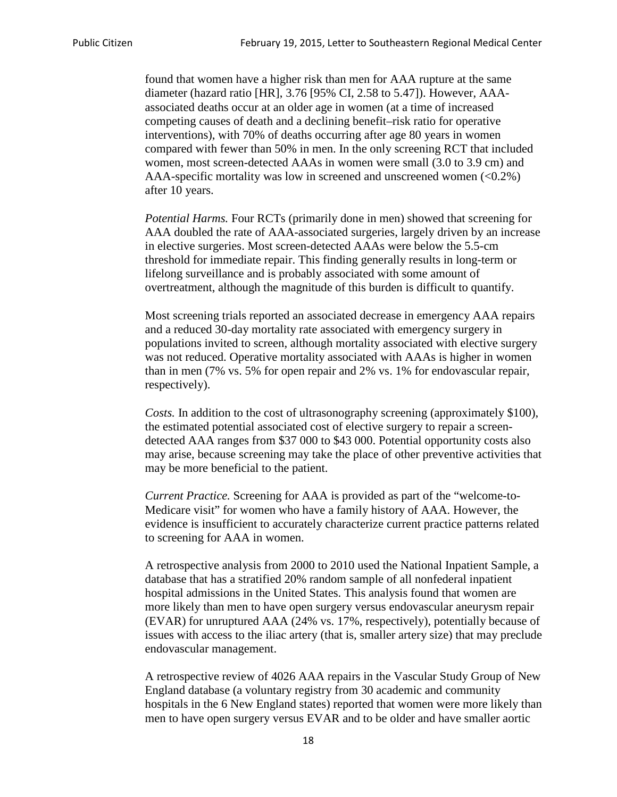found that women have a higher risk than men for AAA rupture at the same diameter (hazard ratio [HR], 3.76 [95% CI, 2.58 to 5.47]). However, AAAassociated deaths occur at an older age in women (at a time of increased competing causes of death and a declining benefit–risk ratio for operative interventions), with 70% of deaths occurring after age 80 years in women compared with fewer than 50% in men. In the only screening RCT that included women, most screen-detected AAAs in women were small (3.0 to 3.9 cm) and AAA-specific mortality was low in screened and unscreened women (<0.2%) after 10 years.

*Potential Harms.* Four RCTs (primarily done in men) showed that screening for AAA doubled the rate of AAA-associated surgeries, largely driven by an increase in elective surgeries. Most screen-detected AAAs were below the 5.5-cm threshold for immediate repair. This finding generally results in long-term or lifelong surveillance and is probably associated with some amount of overtreatment, although the magnitude of this burden is difficult to quantify.

Most screening trials reported an associated decrease in emergency AAA repairs and a reduced 30-day mortality rate associated with emergency surgery in populations invited to screen, although mortality associated with elective surgery was not reduced. Operative mortality associated with AAAs is higher in women than in men (7% vs. 5% for open repair and 2% vs. 1% for endovascular repair, respectively).

*Costs.* In addition to the cost of ultrasonography screening (approximately \$100), the estimated potential associated cost of elective surgery to repair a screendetected AAA ranges from \$37 000 to \$43 000. Potential opportunity costs also may arise, because screening may take the place of other preventive activities that may be more beneficial to the patient.

*Current Practice.* Screening for AAA is provided as part of the "welcome-to-Medicare visit" for women who have a family history of AAA. However, the evidence is insufficient to accurately characterize current practice patterns related to screening for AAA in women.

A retrospective analysis from 2000 to 2010 used the National Inpatient Sample, a database that has a stratified 20% random sample of all nonfederal inpatient hospital admissions in the United States. This analysis found that women are more likely than men to have open surgery versus endovascular aneurysm repair (EVAR) for unruptured AAA (24% vs. 17%, respectively), potentially because of issues with access to the iliac artery (that is, smaller artery size) that may preclude endovascular management.

A retrospective review of 4026 AAA repairs in the Vascular Study Group of New England database (a voluntary registry from 30 academic and community hospitals in the 6 New England states) reported that women were more likely than men to have open surgery versus EVAR and to be older and have smaller aortic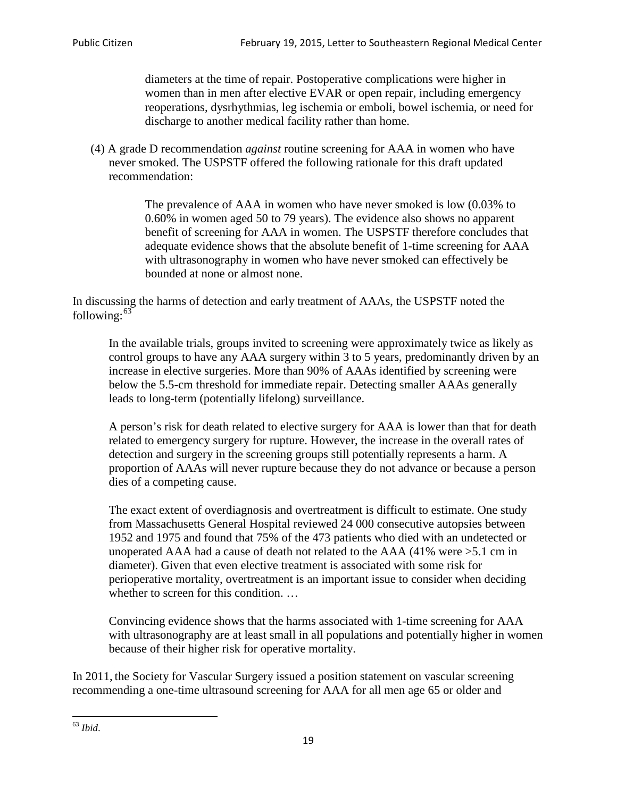diameters at the time of repair. Postoperative complications were higher in women than in men after elective EVAR or open repair, including emergency reoperations, dysrhythmias, leg ischemia or emboli, bowel ischemia, or need for discharge to another medical facility rather than home.

(4) A grade D recommendation *against* routine screening for AAA in women who have never smoked. The USPSTF offered the following rationale for this draft updated recommendation:

> The prevalence of AAA in women who have never smoked is low (0.03% to 0.60% in women aged 50 to 79 years). The evidence also shows no apparent benefit of screening for AAA in women. The USPSTF therefore concludes that adequate evidence shows that the absolute benefit of 1-time screening for AAA with ultrasonography in women who have never smoked can effectively be bounded at none or almost none.

In discussing the harms of detection and early treatment of AAAs, the USPSTF noted the following: $63$ 

In the available trials, groups invited to screening were approximately twice as likely as control groups to have any AAA surgery within 3 to 5 years, predominantly driven by an increase in elective surgeries. More than 90% of AAAs identified by screening were below the 5.5-cm threshold for immediate repair. Detecting smaller AAAs generally leads to long-term (potentially lifelong) surveillance.

A person's risk for death related to elective surgery for AAA is lower than that for death related to emergency surgery for rupture. However, the increase in the overall rates of detection and surgery in the screening groups still potentially represents a harm. A proportion of AAAs will never rupture because they do not advance or because a person dies of a competing cause.

The exact extent of overdiagnosis and overtreatment is difficult to estimate. One study from Massachusetts General Hospital reviewed 24 000 consecutive autopsies between 1952 and 1975 and found that 75% of the 473 patients who died with an undetected or unoperated AAA had a cause of death not related to the AAA (41% were >5.1 cm in diameter). Given that even elective treatment is associated with some risk for perioperative mortality, overtreatment is an important issue to consider when deciding whether to screen for this condition....

Convincing evidence shows that the harms associated with 1-time screening for AAA with ultrasonography are at least small in all populations and potentially higher in women because of their higher risk for operative mortality.

In 2011, the Society for Vascular Surgery issued a position statement on vascular screening recommending a one-time ultrasound screening for AAA for all men age 65 or older and

<span id="page-18-0"></span><sup>63</sup> *Ibid*.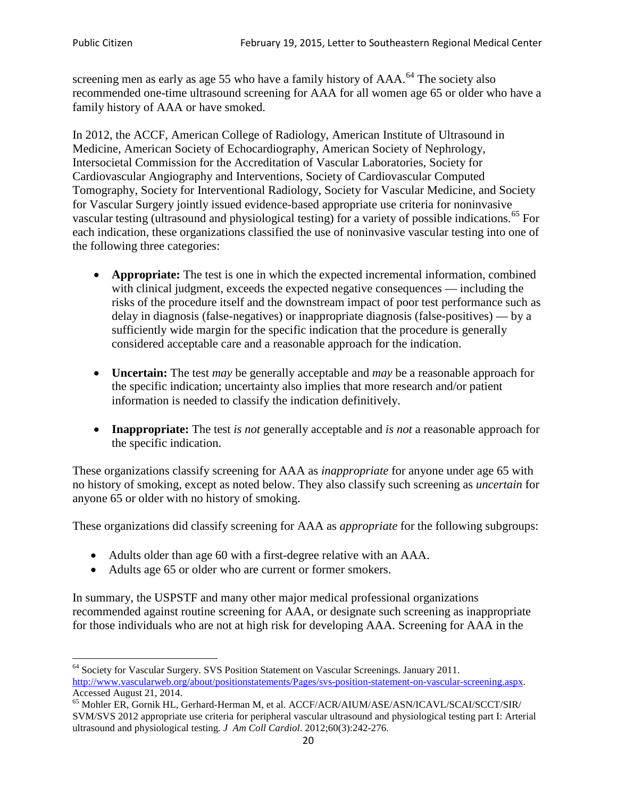screening men as early as age 55 who have a family history of AAA.<sup>[64](#page-19-0)</sup> The society also recommended one-time ultrasound screening for AAA for all women age 65 or older who have a family history of AAA or have smoked.

In 2012, the ACCF, American College of Radiology, American Institute of Ultrasound in Medicine, American Society of Echocardiography, American Society of Nephrology, Intersocietal Commission for the Accreditation of Vascular Laboratories, Society for Cardiovascular Angiography and Interventions, Society of Cardiovascular Computed Tomography, Society for Interventional Radiology, Society for Vascular Medicine, and Society for Vascular Surgery jointly issued evidence-based appropriate use criteria for noninvasive vascular testing (ultrasound and physiological testing) for a variety of possible indications.<sup>[65](#page-19-1)</sup> For each indication, these organizations classified the use of noninvasive vascular testing into one of the following three categories:

- **Appropriate:** The test is one in which the expected incremental information, combined with clinical judgment, exceeds the expected negative consequences — including the risks of the procedure itself and the downstream impact of poor test performance such as delay in diagnosis (false-negatives) or inappropriate diagnosis (false-positives) — by a sufficiently wide margin for the specific indication that the procedure is generally considered acceptable care and a reasonable approach for the indication.
- **Uncertain:** The test *may* be generally acceptable and *may* be a reasonable approach for the specific indication; uncertainty also implies that more research and/or patient information is needed to classify the indication definitively.
- **Inappropriate:** The test *is not* generally acceptable and *is not* a reasonable approach for the specific indication.

These organizations classify screening for AAA as *inappropriate* for anyone under age 65 with no history of smoking, except as noted below. They also classify such screening as *uncertain* for anyone 65 or older with no history of smoking.

These organizations did classify screening for AAA as *appropriate* for the following subgroups:

- Adults older than age 60 with a first-degree relative with an AAA.
- Adults age 65 or older who are current or former smokers.

In summary, the USPSTF and many other major medical professional organizations recommended against routine screening for AAA, or designate such screening as inappropriate for those individuals who are not at high risk for developing AAA. Screening for AAA in the

<span id="page-19-0"></span><sup>64</sup> Society for Vascular Surgery. SVS Position Statement on Vascular Screenings. January 2011. [http://www.vascularweb.org/about/positionstatements/Pages/svs-position-statement-on-vascular-screening.aspx.](http://www.vascularweb.org/about/positionstatements/Pages/svs-position-statement-on-vascular-screening.aspx) 

<span id="page-19-1"></span>Accessed August 21, 2014.<br><sup>65</sup> Mohler ER, Gornik HL, Gerhard-Herman M, et al. ACCF/ACR/AIUM/ASE/ASN/ICAVL/SCAI/SCCT/SIR/ SVM/SVS 2012 appropriate use criteria for peripheral vascular ultrasound and physiological testing part I: Arterial ultrasound and physiological testing*. J Am Coll Cardiol*. 2012;60(3):242-276.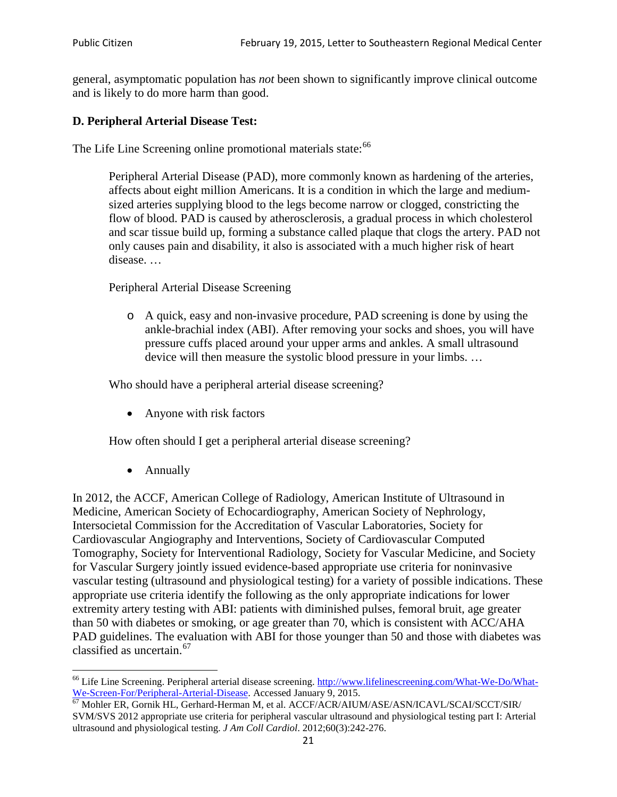general, asymptomatic population has *not* been shown to significantly improve clinical outcome and is likely to do more harm than good.

### **D. Peripheral Arterial Disease Test:**

The Life Line Screening online promotional materials state:<sup>[66](#page-20-0)</sup>

Peripheral Arterial Disease (PAD), more commonly known as hardening of the arteries, affects about eight million Americans. It is a condition in which the large and mediumsized arteries supplying blood to the legs become narrow or clogged, constricting the flow of blood. PAD is caused by atherosclerosis, a gradual process in which cholesterol and scar tissue build up, forming a substance called plaque that clogs the artery. PAD not only causes pain and disability, it also is associated with a much higher risk of heart disease. …

Peripheral Arterial Disease Screening

o A quick, easy and non-invasive procedure, PAD screening is done by using the ankle-brachial index (ABI). After removing your socks and shoes, you will have pressure cuffs placed around your upper arms and ankles. A small ultrasound device will then measure the systolic blood pressure in your limbs. …

Who should have a peripheral arterial disease screening?

• Anyone with risk factors

How often should I get a peripheral arterial disease screening?

• Annually

In 2012, the ACCF, American College of Radiology, American Institute of Ultrasound in Medicine, American Society of Echocardiography, American Society of Nephrology, Intersocietal Commission for the Accreditation of Vascular Laboratories, Society for Cardiovascular Angiography and Interventions, Society of Cardiovascular Computed Tomography, Society for Interventional Radiology, Society for Vascular Medicine, and Society for Vascular Surgery jointly issued evidence-based appropriate use criteria for noninvasive vascular testing (ultrasound and physiological testing) for a variety of possible indications. These appropriate use criteria identify the following as the only appropriate indications for lower extremity artery testing with ABI: patients with diminished pulses, femoral bruit, age greater than 50 with diabetes or smoking, or age greater than 70, which is consistent with ACC/AHA PAD guidelines. The evaluation with ABI for those younger than 50 and those with diabetes was classified as uncertain.<sup>[67](#page-20-1)</sup>

<span id="page-20-0"></span><sup>&</sup>lt;sup>66</sup> Life Line Screening. Peripheral arterial disease screening. [http://www.lifelinescreening.com/What-We-Do/What-](http://www.lifelinescreening.com/What-We-Do/What-We-Screen-For/Peripheral-Arterial-Disease)[We-Screen-For/Peripheral-Arterial-Disease.](http://www.lifelinescreening.com/What-We-Do/What-We-Screen-For/Peripheral-Arterial-Disease) Accessed January 9, 2015.<br><sup>67</sup> Mohler ER, Gornik HL, Gerhard-Herman M, et al. ACCF/ACR/AIUM/ASE/ASN/ICAVL/SCAI/SCCT/SIR/

<span id="page-20-1"></span>SVM/SVS 2012 appropriate use criteria for peripheral vascular ultrasound and physiological testing part I: Arterial ultrasound and physiological testing. *J Am Coll Cardiol*. 2012;60(3):242-276.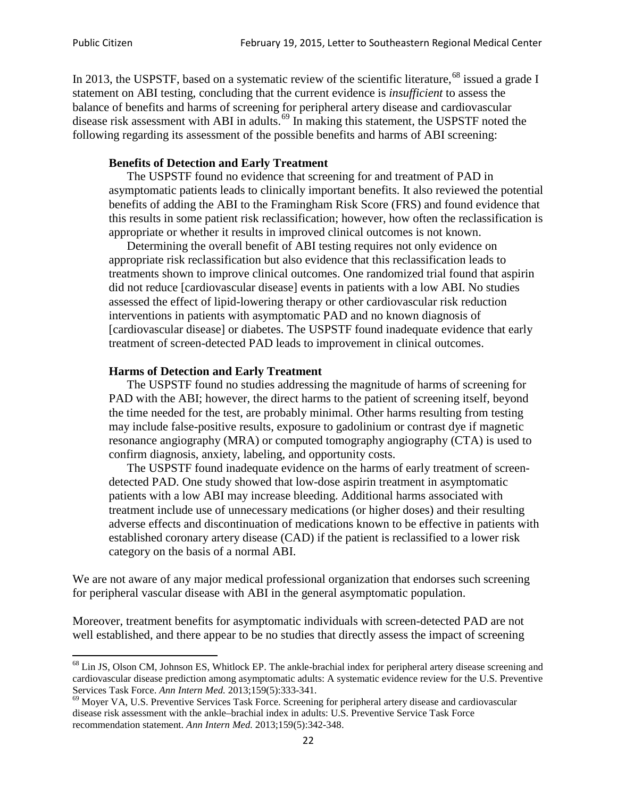In 2013, the USPSTF, based on a systematic review of the scientific literature,<sup>[68](#page-21-0)</sup> issued a grade I statement on ABI testing, concluding that the current evidence is *insufficient* to assess the balance of benefits and harms of screening for peripheral artery disease and cardiovascular disease risk assessment with ABI in adults.<sup>[69](#page-21-1)</sup> In making this statement, the USPSTF noted the following regarding its assessment of the possible benefits and harms of ABI screening:

#### **Benefits of Detection and Early Treatment**

The USPSTF found no evidence that screening for and treatment of PAD in asymptomatic patients leads to clinically important benefits. It also reviewed the potential benefits of adding the ABI to the Framingham Risk Score (FRS) and found evidence that this results in some patient risk reclassification; however, how often the reclassification is appropriate or whether it results in improved clinical outcomes is not known.

Determining the overall benefit of ABI testing requires not only evidence on appropriate risk reclassification but also evidence that this reclassification leads to treatments shown to improve clinical outcomes. One randomized trial found that aspirin did not reduce [cardiovascular disease] events in patients with a low ABI. No studies assessed the effect of lipid-lowering therapy or other cardiovascular risk reduction interventions in patients with asymptomatic PAD and no known diagnosis of [cardiovascular disease] or diabetes. The USPSTF found inadequate evidence that early treatment of screen-detected PAD leads to improvement in clinical outcomes.

#### **Harms of Detection and Early Treatment**

The USPSTF found no studies addressing the magnitude of harms of screening for PAD with the ABI; however, the direct harms to the patient of screening itself, beyond the time needed for the test, are probably minimal. Other harms resulting from testing may include false-positive results, exposure to gadolinium or contrast dye if magnetic resonance angiography (MRA) or computed tomography angiography (CTA) is used to confirm diagnosis, anxiety, labeling, and opportunity costs.

The USPSTF found inadequate evidence on the harms of early treatment of screendetected PAD. One study showed that low-dose aspirin treatment in asymptomatic patients with a low ABI may increase bleeding. Additional harms associated with treatment include use of unnecessary medications (or higher doses) and their resulting adverse effects and discontinuation of medications known to be effective in patients with established coronary artery disease (CAD) if the patient is reclassified to a lower risk category on the basis of a normal ABI.

We are not aware of any major medical professional organization that endorses such screening for peripheral vascular disease with ABI in the general asymptomatic population.

Moreover, treatment benefits for asymptomatic individuals with screen-detected PAD are not well established, and there appear to be no studies that directly assess the impact of screening

<span id="page-21-0"></span><sup>&</sup>lt;sup>68</sup> Lin JS, Olson CM, Johnson ES, Whitlock EP. The ankle-brachial index for peripheral artery disease screening and cardiovascular disease prediction among asymptomatic adults: A systematic evidence review for the U.S. Preventive Services Task Force. *Ann Intern Med.* 2013;159(5):333-341.<br><sup>69</sup> Moyer VA, U.S. Preventive Services Task Force. Screening for peripheral artery disease and cardiovascular

<span id="page-21-1"></span>disease risk assessment with the ankle–brachial index in adults: U.S. Preventive Service Task Force recommendation statement. *Ann Intern Med.* 2013;159(5):342-348.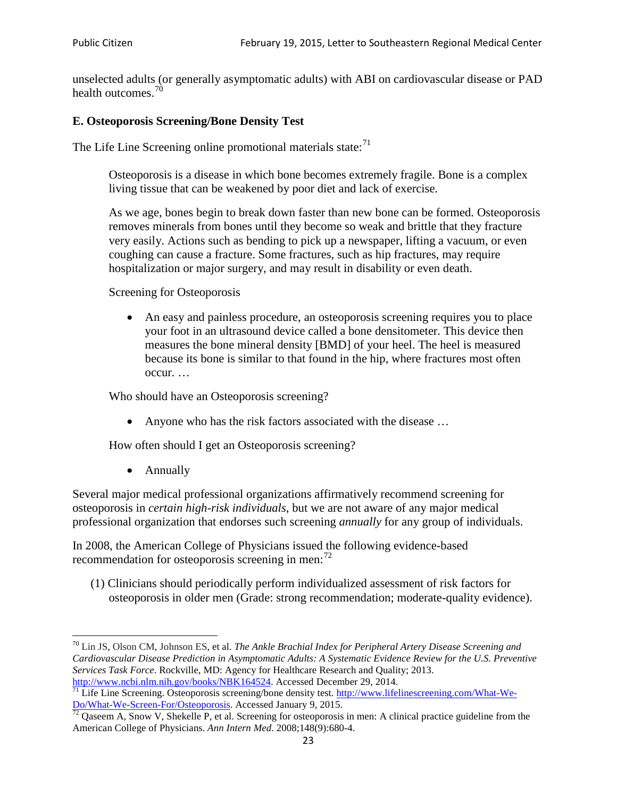unselected adults (or generally asymptomatic adults) with ABI on cardiovascular disease or PAD health outcomes.<sup>[70](#page-22-0)</sup>

## **E. Osteoporosis Screening/Bone Density Test**

The Life Line Screening online promotional materials state: $71$ 

Osteoporosis is a disease in which bone becomes extremely fragile. Bone is a complex living tissue that can be weakened by poor diet and lack of exercise.

As we age, bones begin to break down faster than new bone can be formed. Osteoporosis removes minerals from bones until they become so weak and brittle that they fracture very easily. Actions such as bending to pick up a newspaper, lifting a vacuum, or even coughing can cause a fracture. Some fractures, such as hip fractures, may require hospitalization or major surgery, and may result in disability or even death.

Screening for Osteoporosis

• An easy and painless procedure, an osteoporosis screening requires you to place your foot in an ultrasound device called a bone densitometer. This device then measures the bone mineral density [BMD] of your heel. The heel is measured because its bone is similar to that found in the hip, where fractures most often occur. …

Who should have an Osteoporosis screening?

• Anyone who has the risk factors associated with the disease ...

How often should I get an Osteoporosis screening?

• Annually

Several major medical professional organizations affirmatively recommend screening for osteoporosis in *certain high-risk individuals*, but we are not aware of any major medical professional organization that endorses such screening *annually* for any group of individuals.

In 2008, the American College of Physicians issued the following evidence-based recommendation for osteoporosis screening in men: $^{72}$  $^{72}$  $^{72}$ 

(1) Clinicians should periodically perform individualized assessment of risk factors for osteoporosis in older men (Grade: strong recommendation; moderate-quality evidence).

<span id="page-22-0"></span><sup>70</sup> [Lin JS,](http://www.ncbi.nlm.nih.gov/pubmed?term=Lin%20JS%5BAuthor%5D&cauthor=true&cauthor_uid=24156115) [Olson CM,](http://www.ncbi.nlm.nih.gov/pubmed?term=Olson%20CM%5BAuthor%5D&cauthor=true&cauthor_uid=24156115) [Johnson ES,](http://www.ncbi.nlm.nih.gov/pubmed?term=Johnson%20ES%5BAuthor%5D&cauthor=true&cauthor_uid=24156115) et al. *The Ankle Brachial Index for Peripheral Artery Disease Screening and Cardiovascular Disease Prediction in Asymptomatic Adults: A Systematic Evidence Review for the U.S. Preventive Services Task Force*. Rockville, MD: Agency for Healthcare Research and Quality; 2013.<br>http://www.ncbi.nlm.nih.gov/books/NBK164524. Accessed December 29, 2014.

<span id="page-22-1"></span> $\frac{1}{71}$  Life Line Screening. Osteoporosis screening/bone density test. [http://www.lifelinescreening.com/What-We-](http://www.lifelinescreening.com/What-We-Do/What-We-Screen-For/Osteoporosis)[Do/What-We-Screen-For/Osteoporosis.](http://www.lifelinescreening.com/What-We-Do/What-We-Screen-For/Osteoporosis) Accessed January 9, 2015. <sup>72</sup> Qaseem A, Snow V, Shekelle P, et al. Screening for osteoporosis in men: A clinical practice guideline from the

<span id="page-22-2"></span>American College of Physicians. *Ann Intern Med*. 2008;148(9):680-4.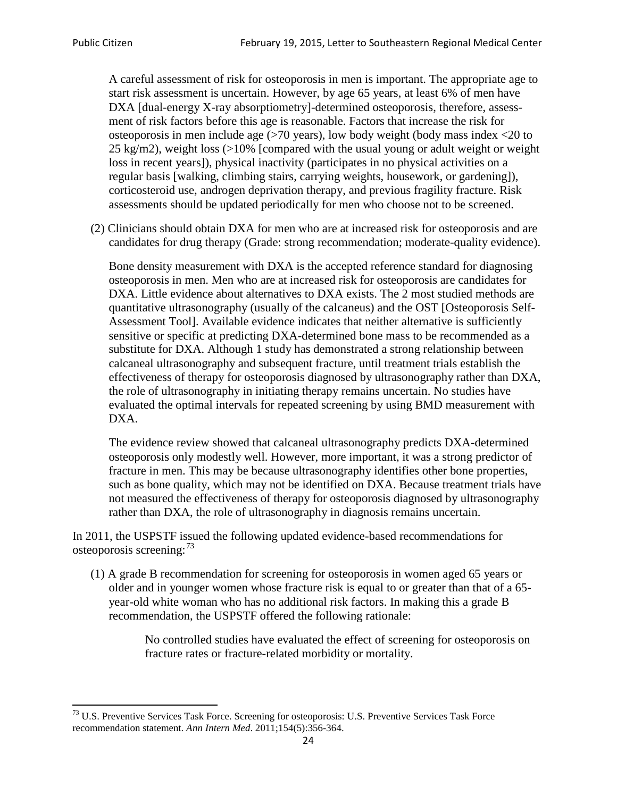A careful assessment of risk for osteoporosis in men is important. The appropriate age to start risk assessment is uncertain. However, by age 65 years, at least 6% of men have DXA [dual-energy X-ray absorptiometry]-determined osteoporosis, therefore, assessment of risk factors before this age is reasonable. Factors that increase the risk for osteoporosis in men include age (>70 years), low body weight (body mass index <20 to 25 kg/m2), weight loss  $\langle$  >10% [compared with the usual young or adult weight or weight loss in recent years]), physical inactivity (participates in no physical activities on a regular basis [walking, climbing stairs, carrying weights, housework, or gardening]), corticosteroid use, androgen deprivation therapy, and previous fragility fracture. Risk assessments should be updated periodically for men who choose not to be screened.

(2) Clinicians should obtain DXA for men who are at increased risk for osteoporosis and are candidates for drug therapy (Grade: strong recommendation; moderate-quality evidence).

Bone density measurement with DXA is the accepted reference standard for diagnosing osteoporosis in men. Men who are at increased risk for osteoporosis are candidates for DXA. Little evidence about alternatives to DXA exists. The 2 most studied methods are quantitative ultrasonography (usually of the calcaneus) and the OST [Osteoporosis Self-Assessment Tool]. Available evidence indicates that neither alternative is sufficiently sensitive or specific at predicting DXA-determined bone mass to be recommended as a substitute for DXA. Although 1 study has demonstrated a strong relationship between calcaneal ultrasonography and subsequent fracture, until treatment trials establish the effectiveness of therapy for osteoporosis diagnosed by ultrasonography rather than DXA, the role of ultrasonography in initiating therapy remains uncertain. No studies have evaluated the optimal intervals for repeated screening by using BMD measurement with DXA.

The evidence review showed that calcaneal ultrasonography predicts DXA-determined osteoporosis only modestly well. However, more important, it was a strong predictor of fracture in men. This may be because ultrasonography identifies other bone properties, such as bone quality, which may not be identified on DXA. Because treatment trials have not measured the effectiveness of therapy for osteoporosis diagnosed by ultrasonography rather than DXA, the role of ultrasonography in diagnosis remains uncertain.

In 2011, the USPSTF issued the following updated evidence-based recommendations for osteoporosis screening:<sup>[73](#page-23-0)</sup>

(1) A grade B recommendation for screening for osteoporosis in women aged 65 years or older and in younger women whose fracture risk is equal to or greater than that of a 65 year-old white woman who has no additional risk factors. In making this a grade B recommendation, the USPSTF offered the following rationale:

> No controlled studies have evaluated the effect of screening for osteoporosis on fracture rates or fracture-related morbidity or mortality.

<span id="page-23-0"></span><sup>&</sup>lt;sup>73</sup> U.S. Preventive Services Task Force. Screening for osteoporosis: U.S. Preventive Services Task Force recommendation statement. *Ann Intern Med*. 2011;154(5):356-364.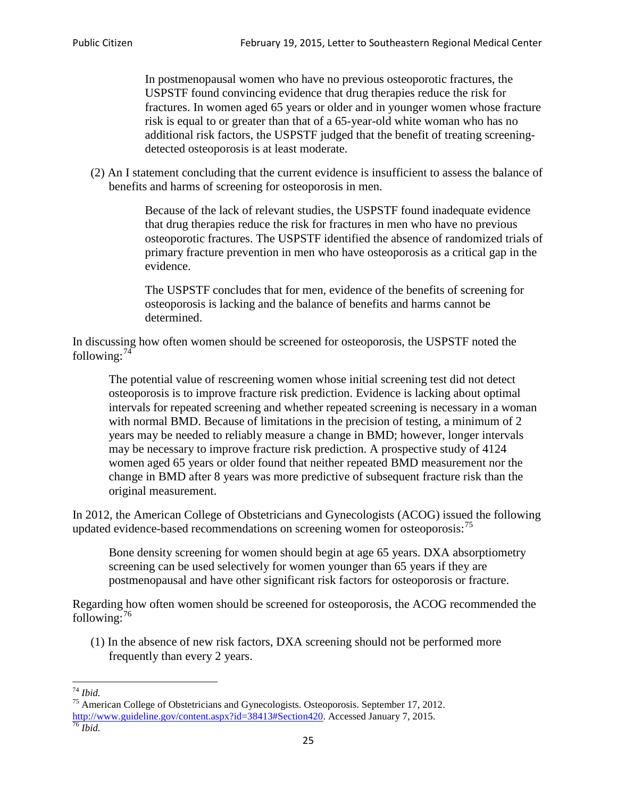In postmenopausal women who have no previous osteoporotic fractures, the USPSTF found convincing evidence that drug therapies reduce the risk for fractures. In women aged 65 years or older and in younger women whose fracture risk is equal to or greater than that of a 65-year-old white woman who has no additional risk factors, the USPSTF judged that the benefit of treating screeningdetected osteoporosis is at least moderate.

(2) An I statement concluding that the current evidence is insufficient to assess the balance of benefits and harms of screening for osteoporosis in men.

> Because of the lack of relevant studies, the USPSTF found inadequate evidence that drug therapies reduce the risk for fractures in men who have no previous osteoporotic fractures. The USPSTF identified the absence of randomized trials of primary fracture prevention in men who have osteoporosis as a critical gap in the evidence.

The USPSTF concludes that for men, evidence of the benefits of screening for osteoporosis is lacking and the balance of benefits and harms cannot be determined.

In discussing how often women should be screened for osteoporosis, the USPSTF noted the following: $74$ 

The potential value of rescreening women whose initial screening test did not detect osteoporosis is to improve fracture risk prediction. Evidence is lacking about optimal intervals for repeated screening and whether repeated screening is necessary in a woman with normal BMD. Because of limitations in the precision of testing, a minimum of 2 years may be needed to reliably measure a change in BMD; however, longer intervals may be necessary to improve fracture risk prediction. A prospective study of 4124 women aged 65 years or older found that neither repeated BMD measurement nor the change in BMD after 8 years was more predictive of subsequent fracture risk than the original measurement.

In 2012, the American College of Obstetricians and Gynecologists (ACOG) issued the following updated evidence-based recommendations on screening women for osteoporosis:<sup>[75](#page-24-1)</sup>

Bone density screening for women should begin at age 65 years. DXA absorptiometry screening can be used selectively for women younger than 65 years if they are postmenopausal and have other significant risk factors for osteoporosis or fracture.

Regarding how often women should be screened for osteoporosis, the ACOG recommended the following: $^{76}$  $^{76}$  $^{76}$ 

(1) In the absence of new risk factors, DXA screening should not be performed more frequently than every 2 years.

<span id="page-24-2"></span><span id="page-24-1"></span><span id="page-24-0"></span><sup>74</sup> *Ibid.* <sup>75</sup> American College of Obstetricians and Gynecologists. Osteoporosis. September 17, 2012. [http://www.guideline.gov/content.aspx?id=38413#Section420.](http://www.guideline.gov/content.aspx?id=38413#Section420) Accessed January 7, 2015.<br><sup>76</sup> *Ibid.*